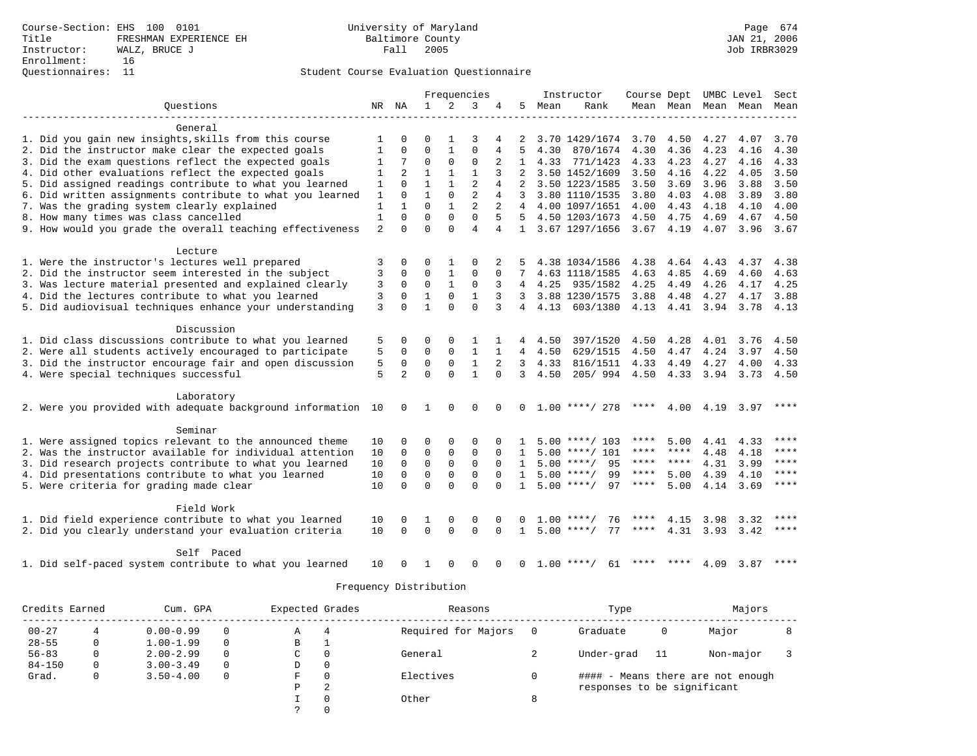|                                                              |                |                |              | Frequencies  |                |                |                |         | Instructor         | Course Dept UMBC Level |                |           |                          | Sect        |
|--------------------------------------------------------------|----------------|----------------|--------------|--------------|----------------|----------------|----------------|---------|--------------------|------------------------|----------------|-----------|--------------------------|-------------|
| Ouestions                                                    |                | NR NA          | $\mathbf{1}$ | 2            | 3              | 4              | 5              | Mean    | Rank               |                        |                |           | Mean Mean Mean Mean Mean |             |
|                                                              |                |                |              |              |                |                |                |         |                    |                        |                |           |                          |             |
| General                                                      |                |                |              |              |                |                |                |         |                    |                        |                |           |                          |             |
| 1. Did you gain new insights, skills from this course        | 1              | $\Omega$       | $\Omega$     | $\mathbf{1}$ | 3              |                |                |         | 3.70 1429/1674     |                        | 3.70 4.50 4.27 |           | 4.07                     | 3.70        |
| 2. Did the instructor make clear the expected goals          | $\mathbf{1}$   | 0              | $\Omega$     | $\mathbf{1}$ | $\Omega$       | 4              | 5              | 4.30    | 870/1674           | 4.30                   | 4.36           | 4.23      | 4.16                     | 4.30        |
| 3. Did the exam questions reflect the expected goals         | $\mathbf{1}$   | 7              | $\Omega$     | $\Omega$     | $\Omega$       |                | $\mathbf{1}$   |         | 4.33 771/1423      | 4.33                   | 4.23           | 4.27      | 4.16                     | 4.33        |
| 4. Did other evaluations reflect the expected goals          | 1              | $\overline{a}$ | $\mathbf{1}$ | $\mathbf{1}$ | $\mathbf{1}$   | 3              | 2              |         | 3.50 1452/1609     | 3.50                   | 4.16           | 4.22      | 4.05                     | 3.50        |
| 5. Did assigned readings contribute to what you learned      | 1              | $\Omega$       | $\mathbf{1}$ | $\mathbf{1}$ | $\overline{2}$ | 4              |                |         | 3.50 1223/1585     | 3.50                   | 3.69           | 3.96      | 3.88                     | 3.50        |
| 6. Did written assignments contribute to what you learned    | 1              | $\Omega$       | 1            | $\Omega$     | $\overline{2}$ | 4              | 3              |         | 3.80 1110/1535     | 3.80                   | 4.03           | 4.08      | 3.89                     | 3.80        |
| 7. Was the grading system clearly explained                  | $\mathbf{1}$   | $\mathbf{1}$   | $\Omega$     | $\mathbf{1}$ | $\overline{a}$ | $\overline{2}$ |                |         | 4 4.00 1097/1651   | 4.00                   | 4.43           | 4.18      | 4.10                     | 4.00        |
| 8. How many times was class cancelled                        | $\mathbf{1}$   | $\Omega$       | $\Omega$     | $\Omega$     | $\mathbf 0$    | 5              |                |         | 5 4.50 1203/1673   | 4.50                   | 4.75           | 4.69      | 4.67                     | 4.50        |
| 9. How would you grade the overall teaching effectiveness    | $\overline{a}$ | $\Omega$       | $\Omega$     | $\Omega$     | $\overline{4}$ | 4              |                |         | 1 3.67 1297/1656   | $3.67$ 4.19            |                | 4.07      | 3.96                     | 3.67        |
| Lecture                                                      |                |                |              |              |                |                |                |         |                    |                        |                |           |                          |             |
| 1. Were the instructor's lectures well prepared              | 3              | 0              | 0            | 1            | $\Omega$       | 2              |                |         | 4.38 1034/1586     | 4.38                   | 4.64           | 4.43      | 4.37                     | 4.38        |
| 2. Did the instructor seem interested in the subject         | 3              | $\Omega$       | $\Omega$     | $\mathbf{1}$ | $\Omega$       | $\Omega$       | 7              |         | 4.63 1118/1585     | 4.63                   | 4.85           | 4.69      | 4.60                     | 4.63        |
| 3. Was lecture material presented and explained clearly      | 3              | 0              | $\mathbf 0$  | $\mathbf{1}$ | $\mathbf 0$    | 3              | 4              | 4.25    | 935/1582           | 4.25                   | 4.49           | 4.26      | 4.17                     | 4.25        |
| 4. Did the lectures contribute to what you learned           | 3              | $\Omega$       | $\mathbf{1}$ | $\Omega$     | $\mathbf{1}$   | 3              | 3              |         | 3.88 1230/1575     | 3.88                   | 4.48           | 4.27      | 4.17                     | 3.88        |
| 5. Did audiovisual techniques enhance your understanding     | 3              | $\Omega$       | $\mathbf{1}$ | $\Omega$     | $\Omega$       | 3              | $\overline{4}$ | 4.13    | 603/1380           | 4.13                   | 4.41           | 3.94      | 3.78                     | 4.13        |
| Discussion                                                   |                |                |              |              |                |                |                |         |                    |                        |                |           |                          |             |
| 1. Did class discussions contribute to what you learned      | 5              | 0              | $\Omega$     | 0            | 1              |                | 4              | 4.50    | 397/1520           | 4.50                   | 4.28           | 4.01      | 3.76                     | 4.50        |
| 2. Were all students actively encouraged to participate      | 5              | $\Omega$       | $\Omega$     | $\Omega$     | $\mathbf{1}$   |                | $\overline{4}$ | 4.50    | 629/1515           | 4.50                   | 4.47           | 4.24      | 3.97                     | 4.50        |
| 3. Did the instructor encourage fair and open discussion     | 5              | 0              | $\mathbf 0$  | $\Omega$     | $\mathbf{1}$   | 2              |                | 3, 4.33 | 816/1511           | 4.33                   | 4.49           | 4.27      | 4.00                     | 4.33        |
| 4. Were special techniques successful                        | 5              | 2              | $\Omega$     | $\Omega$     | $\mathbf{1}$   | $\Omega$       | 3              | 4.50    | 205/994            | 4.50                   | 4.33           | 3.94      | 3.73 4.50                |             |
| Laboratory                                                   |                |                |              |              |                |                |                |         |                    |                        |                |           |                          |             |
| 2. Were you provided with adequate background information 10 |                | $\mathbf{0}$   | 1            | $\Omega$     | $\mathbf 0$    | $\Omega$       | $\Omega$       |         | $1.00$ ****/ 278   | ****                   |                | 4.00 4.19 | 3.97                     |             |
|                                                              |                |                |              |              |                |                |                |         |                    |                        |                |           |                          |             |
| Seminar                                                      |                |                |              |              |                |                |                |         |                    |                        |                |           |                          |             |
| 1. Were assigned topics relevant to the announced theme      | 10             | 0              | $\Omega$     | $\Omega$     | $\Omega$       |                |                |         | $5.00$ ****/ 103   | ****                   | 5.00           | 4.41      | 4.33                     | $***$       |
| 2. Was the instructor available for individual attention     | 10             | $\Omega$       | $\Omega$     | $\Omega$     | $\Omega$       | $\Omega$       | $\mathbf{1}$   |         | $5.00$ ****/ 101   | ****                   | ****           | 4.48      | 4.18                     | ****        |
| 3. Did research projects contribute to what you learned      | 10             | $\mathbf 0$    | $\mathbf 0$  | $\mathbf 0$  | $\mathbf 0$    | $\Omega$       | $\mathbf{1}$   |         | $5.00$ ****/<br>95 | ****                   | ****           | 4.31      | 3.99                     | ****        |
| 4. Did presentations contribute to what you learned          | 10             | $\Omega$       | $\Omega$     | $\mathbf 0$  | $\Omega$       | $\Omega$       | $\mathbf{1}$   |         | $5.00$ ****/<br>99 | $***$ * * *            | 5.00           | 4.39      | 4.10                     | $***$       |
| 5. Were criteria for grading made clear                      | 10             | $\Omega$       | $\Omega$     | $\Omega$     | $\Omega$       | $\Omega$       | $\mathbf{1}$   |         | $5.00$ ****/<br>97 | $***$ * * *            | 5.00           | 4.14      | 3.69                     | $***$       |
| Field Work                                                   |                |                |              |              |                |                |                |         |                    |                        |                |           |                          |             |
| 1. Did field experience contribute to what you learned       | 10             | 0              | 1            | 0            | $\Omega$       | $\Omega$       |                | 1.00    | 76                 |                        | 4.15           | 3.98      | 3.32                     | $***$       |
| 2. Did you clearly understand your evaluation criteria       | 10             | $\Omega$       | $\Omega$     | $\Omega$     | $\Omega$       | $\Omega$       | $\mathbf{1}$   |         | $5.00$ ****/<br>77 | ****                   | 4.31           |           | $3.93 \quad 3.42$        | ****        |
| Self Paced                                                   |                |                |              |              |                |                |                |         |                    |                        |                |           |                          |             |
| 1. Did self-paced system contribute to what you learned      | 10             | 0              | -1.          | $\Omega$     | 0              | $\Omega$       | $\Omega$       |         | $1.00$ ****/<br>61 |                        | **** ****      | 4.09      | 3.87                     | $* * * * *$ |

| Credits Earned |              | Cum. GPA      |          | Expected Grades |          | Reasons             |   | Type                        |    | Majors                            |  |
|----------------|--------------|---------------|----------|-----------------|----------|---------------------|---|-----------------------------|----|-----------------------------------|--|
| $00 - 27$      |              | $0.00 - 0.99$ |          | Α               | 4        | Required for Majors |   | Graduate                    | 0  | Major                             |  |
| $28 - 55$      | 0            | $1.00 - 1.99$ | $\Omega$ | В               |          |                     |   |                             |    |                                   |  |
| $56 - 83$      | 0            | $2.00 - 2.99$ | $\Omega$ | C               | $\Omega$ | General             |   | Under-grad                  | 11 | Non-major                         |  |
| $84 - 150$     |              | $3.00 - 3.49$ | $\Omega$ | D               | $\Omega$ |                     |   |                             |    |                                   |  |
| Grad.          | $\mathbf{0}$ | $3.50 - 4.00$ | $\Omega$ | F               | $\Omega$ | Electives           |   |                             |    | #### - Means there are not enough |  |
|                |              |               |          | D               | 2        |                     |   | responses to be significant |    |                                   |  |
|                |              |               |          |                 | $\Omega$ | Other               | 8 |                             |    |                                   |  |
|                |              |               |          |                 |          |                     |   |                             |    |                                   |  |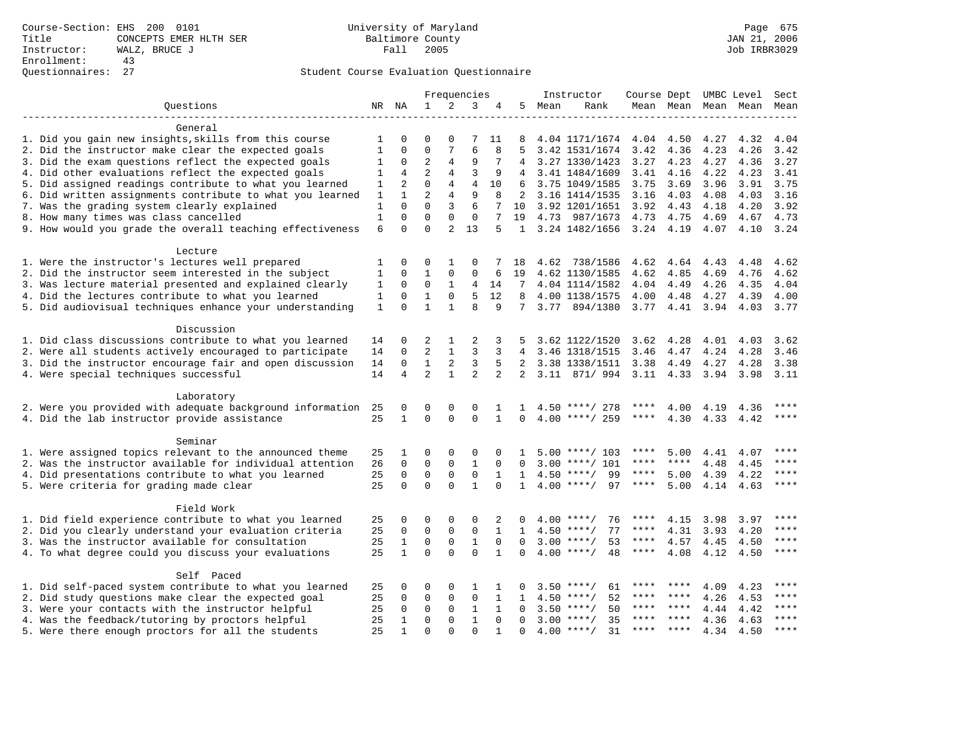|                                                           |              |                |                |                | Frequencies    |                |                |      | Instructor         | Course Dept UMBC Level |             |      |                          | Sect        |
|-----------------------------------------------------------|--------------|----------------|----------------|----------------|----------------|----------------|----------------|------|--------------------|------------------------|-------------|------|--------------------------|-------------|
| Ouestions                                                 |              | NR NA          | $\mathbf{1}$   | 2              | 3              | 4              | 5              | Mean | Rank               |                        |             |      | Mean Mean Mean Mean Mean |             |
|                                                           |              |                |                |                |                |                |                |      |                    |                        |             |      |                          |             |
| General                                                   |              |                |                |                |                |                |                |      |                    |                        |             |      |                          |             |
| 1. Did you gain new insights, skills from this course     | 1            |                | $\Omega$       | $\Omega$       | 7              | 11             | 8              |      | 4.04 1171/1674     | 4.04                   | 4.50        | 4.27 | 4.32                     | 4.04        |
| 2. Did the instructor make clear the expected goals       | $\mathbf{1}$ | $\Omega$       | $\Omega$       | 7              | 6              | 8              | 5              |      | 3.42 1531/1674     | 3.42                   | 4.36        | 4.23 | 4.26                     | 3.42        |
| 3. Did the exam questions reflect the expected goals      | 1            | 0              | $\overline{2}$ | 4              | 9              |                | 4              |      | 3.27 1330/1423     | 3.27                   | 4.23        | 4.27 | 4.36                     | 3.27        |
| 4. Did other evaluations reflect the expected goals       | 1            | 4              | $\overline{a}$ | 4              | 3              | 9              | $\overline{4}$ |      | 3.41 1484/1609     | 3.41                   | 4.16        | 4.22 | 4.23                     | 3.41        |
| 5. Did assigned readings contribute to what you learned   | 1            | 2              | $\mathbf 0$    | 4              | $\overline{4}$ | 10             | 6              |      | 3.75 1049/1585     | 3.75                   | 3.69        | 3.96 | 3.91                     | 3.75        |
| 6. Did written assignments contribute to what you learned | 1            | $\mathbf{1}$   | $\overline{2}$ | 4              | 9              | 8              | 2              |      | 3.16 1414/1535     | 3.16                   | 4.03        | 4.08 | 4.03                     | 3.16        |
| 7. Was the grading system clearly explained               | 1            | $\Omega$       | $\Omega$       | 3              | 6              | 7              | 10             |      | 3.92 1201/1651     | 3.92                   | 4.43        | 4.18 | 4.20                     | 3.92        |
| 8. How many times was class cancelled                     | $\mathbf{1}$ | $\Omega$       | $\Omega$       | 0              | $\mathbf 0$    | 7              | 19             |      | 4.73 987/1673      | 4.73                   | 4.75        | 4.69 | 4.67                     | 4.73        |
| 9. How would you grade the overall teaching effectiveness | 6            | $\Omega$       | $\Omega$       | $\overline{2}$ | 13             | 5              |                |      | 1 3.24 1482/1656   | 3.24 4.19              |             | 4.07 | 4.10                     | 3.24        |
| Lecture                                                   |              |                |                |                |                |                |                |      |                    |                        |             |      |                          |             |
| 1. Were the instructor's lectures well prepared           | 1            | 0              | 0              | 1              | $\mathbf 0$    |                | 18             | 4.62 | 738/1586           |                        |             |      | 4.48                     | 4.62        |
| 2. Did the instructor seem interested in the subject      | 1            | 0              | $\mathbf{1}$   | 0              | 0              |                | 19             |      |                    | 4.62                   | 4.64        | 4.43 | 4.76                     | 4.62        |
|                                                           |              |                |                |                |                | 6              |                |      | 4.62 1130/1585     | 4.62                   | 4.85        | 4.69 |                          |             |
| 3. Was lecture material presented and explained clearly   | 1            | 0              | 0              | 1              | 4              | 14             | 7              |      | 4.04 1114/1582     | 4.04                   | 4.49        | 4.26 | 4.35                     | 4.04        |
| 4. Did the lectures contribute to what you learned        | 1            | $\mathbf 0$    | $\mathbf{1}$   | $\mathbf 0$    | 5              | 12             | 8              |      | 4.00 1138/1575     | 4.00                   | 4.48        | 4.27 | 4.39                     | 4.00        |
| 5. Did audiovisual techniques enhance your understanding  | $\mathbf{1}$ | $\Omega$       | $\mathbf{1}$   | $\mathbf{1}$   | $\mathsf{R}$   | 9              | 7              | 3.77 | 894/1380           |                        | 3.77 4.41   | 3.94 | 4.03                     | 3.77        |
| Discussion                                                |              |                |                |                |                |                |                |      |                    |                        |             |      |                          |             |
| 1. Did class discussions contribute to what you learned   | 14           | 0              | 2              | 1              | 2              | 3              |                |      | 3.62 1122/1520     | 3.62                   | 4.28        | 4.01 | 4.03                     | 3.62        |
| 2. Were all students actively encouraged to participate   | 14           | 0              | $\overline{2}$ | $\mathbf{1}$   | 3              | 3              | 4              |      | 3.46 1318/1515     | 3.46                   | 4.47        | 4.24 | 4.28                     | 3.46        |
| 3. Did the instructor encourage fair and open discussion  | 14           | $\Omega$       | $\mathbf{1}$   | 2              | 3              | 5              | 2              |      | 3.38 1338/1511     | 3.38                   | 4.49        | 4.27 | 4.28                     | 3.38        |
| 4. Were special techniques successful                     | 14           | $\overline{4}$ | $\overline{a}$ | $\mathbf{1}$   | $\mathfrak{D}$ | $\overline{a}$ | $\overline{2}$ |      | 3.11 871/994       | 3.11 4.33              |             | 3.94 | 3.98                     | 3.11        |
|                                                           |              |                |                |                |                |                |                |      |                    |                        |             |      |                          |             |
| Laboratory                                                |              |                |                |                |                |                |                |      |                    |                        |             |      |                          |             |
| 2. Were you provided with adequate background information | 25           | 0              | 0              | 0              | $\mathbf 0$    | 1              | 1              |      | $4.50$ ****/ 278   | ****                   | 4.00        | 4.19 | 4.36                     | ****        |
| 4. Did the lab instructor provide assistance              | 25           | $\mathbf{1}$   | $\Omega$       | $\Omega$       | $\Omega$       | $\mathbf{1}$   | $\Omega$       |      | $4.00$ ****/ 259   | $***$ * * *            | 4.30        | 4.33 | 4.42                     | ****        |
|                                                           |              |                |                |                |                |                |                |      |                    |                        |             |      |                          |             |
| Seminar                                                   |              |                |                |                |                |                |                |      |                    |                        |             |      |                          |             |
| 1. Were assigned topics relevant to the announced theme   | 25           | 1              | $\Omega$       | 0              | $\mathbf 0$    | $\Omega$       | 1              |      | $5.00$ ****/ 103   | ****                   | 5.00        | 4.41 | 4.07                     |             |
| 2. Was the instructor available for individual attention  | 26           | $\mathbf 0$    | $\mathbf 0$    | $\mathsf 0$    | $\mathbf{1}$   | $\mathbf 0$    | $\Omega$       | 3.00 | $***/101$          | ****                   | ****        | 4.48 | 4.45                     | ****        |
| 4. Did presentations contribute to what you learned       | 25           | $\mathbf 0$    | $\mathbf 0$    | $\mathsf 0$    | $\mathsf 0$    | 1              | 1              | 4.50 | 99<br>$* * * * /$  | ****                   | 5.00        | 4.39 | 4.22                     | ****        |
| 5. Were criteria for grading made clear                   | 25           | $\Omega$       | $\Omega$       | $\Omega$       | $\mathbf{1}$   | $\Omega$       | $\mathbf{1}$   |      | $4.00$ ****/<br>97 | ****                   | 5.00        | 4.14 | 4.63                     | ****        |
| Field Work                                                |              |                |                |                |                |                |                |      |                    |                        |             |      |                          |             |
| 1. Did field experience contribute to what you learned    | 25           | 0              | 0              | $\Omega$       | $\Omega$       | 2              |                |      | 76<br>$4.00$ ****/ | ****                   | 4.15        | 3.98 | 3.97                     | ****        |
| 2. Did you clearly understand your evaluation criteria    | 25           | $\mathbf 0$    | $\Omega$       | 0              | $\mathbf 0$    | $\mathbf{1}$   | $\mathbf{1}$   |      | $4.50$ ****/<br>77 | ****                   | 4.31        | 3.93 | 4.20                     | ****        |
| 3. Was the instructor available for consultation          | 25           | $\mathbf{1}$   | $\mathbf 0$    | $\mathbf 0$    | $\mathbf{1}$   | $\mathbf 0$    | $\Omega$       |      | $3.00$ ****/<br>53 | $***$ * * *            | 4.57        | 4.45 | 4.50                     | $***$       |
| 4. To what degree could you discuss your evaluations      | 25           | $\mathbf{1}$   | $\Omega$       | $\Omega$       | $\Omega$       | $\mathbf{1}$   | $\Omega$       |      | $4.00$ ****/<br>48 | ****                   | 4.08        | 4.12 | 4.50                     | $***$       |
|                                                           |              |                |                |                |                |                |                |      |                    |                        |             |      |                          |             |
| Self Paced                                                |              |                |                |                |                |                |                |      |                    |                        |             |      |                          |             |
| 1. Did self-paced system contribute to what you learned   | 25           | 0              | 0              | $\Omega$       | 1              | 1              | 0              |      | $3.50$ ****/<br>61 |                        |             | 4.09 | 4.23                     |             |
| 2. Did study questions make clear the expected goal       | 25           | 0              | 0              | 0              | $\mathbf 0$    | 1              | $\mathbf{1}$   | 4.50 | $* * * * /$<br>52  | ****                   | ****        | 4.26 | 4.53                     | ****        |
| 3. Were your contacts with the instructor helpful         | 25           | $\mathbf 0$    | $\mathbf 0$    | $\mathbf 0$    | $\mathbf{1}$   | $\mathbf{1}$   | $\Omega$       | 3.50 | $***$ /<br>50      | $***$ * *              | $***$ *     | 4.44 | 4.42                     | ****        |
| 4. Was the feedback/tutoring by proctors helpful          | 25           | 1              | $\mathbf 0$    | 0              | $\mathbf{1}$   | $\Omega$       | $\Omega$       |      | $3.00$ ****/<br>35 | ****                   | $* * * * *$ | 4.36 | 4.63                     | $***$ * * * |
| 5. Were there enough proctors for all the students        | 25           | 1              | $\Omega$       | $\Omega$       | $\Omega$       | $\mathbf{1}$   | $\Omega$       |      | 31<br>$4.00$ ****/ | ****                   | $***$ *     | 4.34 | 4.50                     | ****        |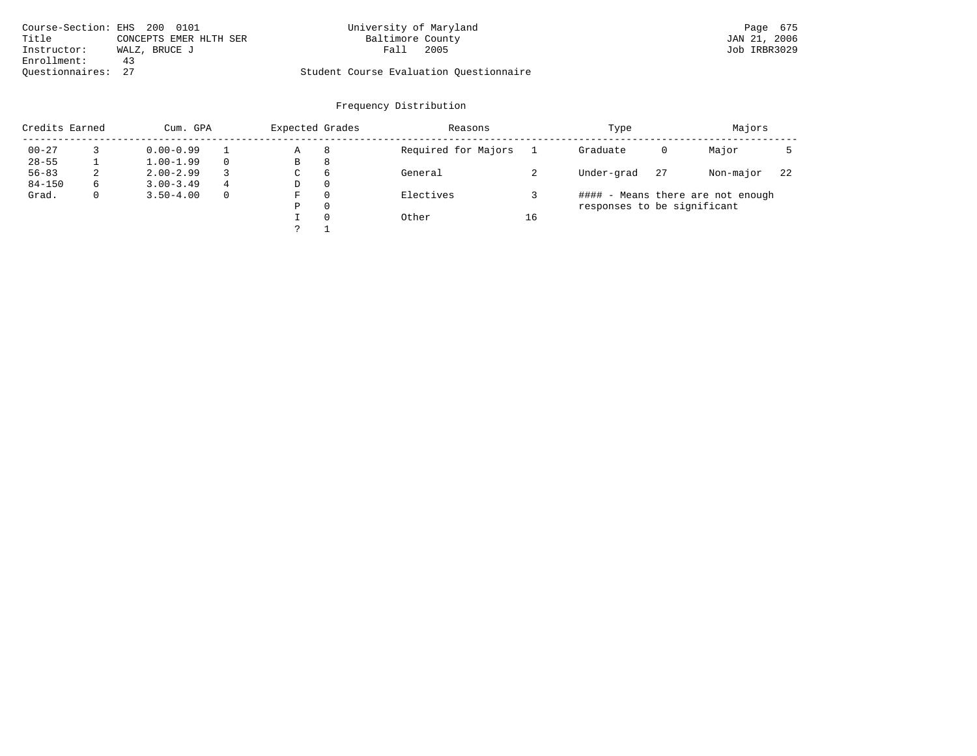|                    | Course-Section: EHS 200 0101 | University of Maryland                  | Page 675     |
|--------------------|------------------------------|-----------------------------------------|--------------|
| Title              | CONCEPTS EMER HLTH SER       | Baltimore County                        | JAN 21, 2006 |
| Instructor:        | WALZ, BRUCE J                | 2005<br>Fall                            | Job IRBR3029 |
| Enrollment:        | 43                           |                                         |              |
| Ouestionnaires: 27 |                              | Student Course Evaluation Ouestionnaire |              |

| Credits Earned |    | Cum. GPA      |          | Expected Grades |          | Reasons             |    | Type                        |    | Majors                            |     |
|----------------|----|---------------|----------|-----------------|----------|---------------------|----|-----------------------------|----|-----------------------------------|-----|
| $00 - 27$      |    | $0.00 - 0.99$ |          | Α               | 8        | Required for Majors |    | Graduate                    | 0  | Major                             |     |
| $28 - 55$      |    | $1.00 - 1.99$ |          | B               | 8        |                     |    |                             |    |                                   |     |
| $56 - 83$      | z. | $2.00 - 2.99$ |          | C               | -6       | General             |    | Under-grad                  | 27 | Non-major                         | -22 |
| $84 - 150$     | 6  | $3.00 - 3.49$ | 4        | D               | $\Omega$ |                     |    |                             |    |                                   |     |
| Grad.          |    | $3.50 - 4.00$ | $\Omega$ | F               | $\Omega$ | Electives           |    |                             |    | #### - Means there are not enough |     |
|                |    |               |          | Ρ               | 0        |                     |    | responses to be significant |    |                                   |     |
|                |    |               |          |                 | $\Omega$ | Other               | 16 |                             |    |                                   |     |
|                |    |               |          |                 |          |                     |    |                             |    |                                   |     |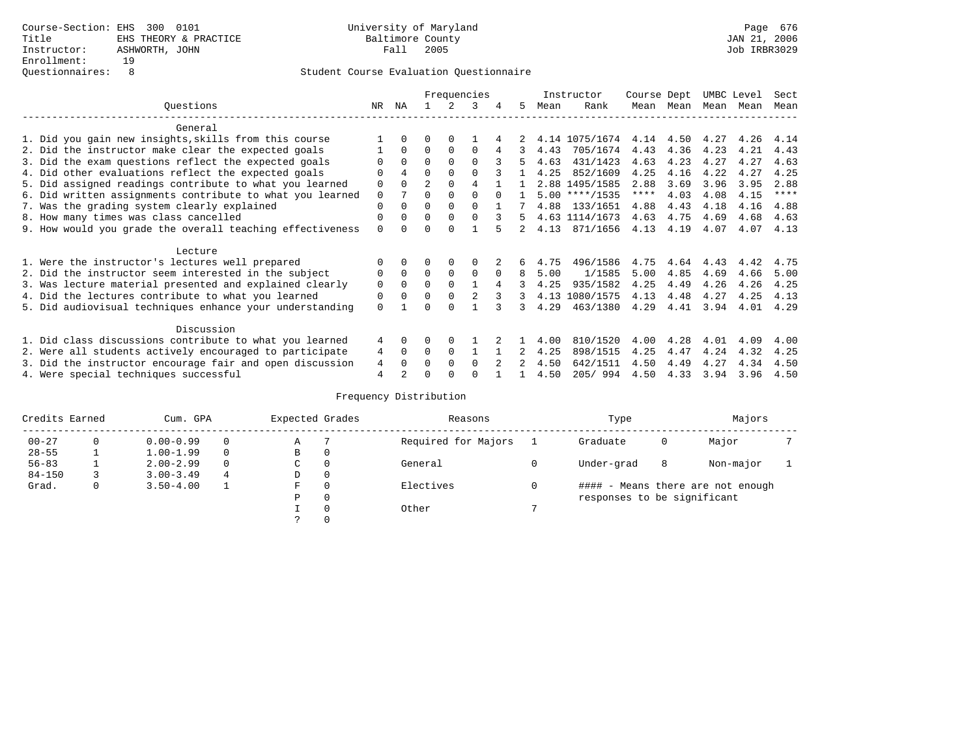|                                                           |          |                |                |             | Frequencies |          |    |      | Instructor       | Course Dept |           |      | UMBC Level | Sect        |
|-----------------------------------------------------------|----------|----------------|----------------|-------------|-------------|----------|----|------|------------------|-------------|-----------|------|------------|-------------|
| Ouestions                                                 | NR       | ΝA             |                | 2           | 3           | 4        | 5  | Mean | Rank             |             | Mean Mean | Mean | Mean       | Mean        |
| General                                                   |          |                |                |             |             |          |    |      |                  |             |           |      |            |             |
| 1. Did you gain new insights, skills from this course     |          | $\Omega$       | 0              | $\Omega$    |             |          |    |      | 4.14 1075/1674   | 4.14        | 4.50      | 4.27 | 4.26       | 4.14        |
| 2. Did the instructor make clear the expected goals       |          | $\Omega$       | $\Omega$       | $\Omega$    | $\Omega$    |          | 3  | 4.43 | 705/1674         | 4.43        | 4.36      | 4.23 | 4.21       | 4.43        |
| 3. Did the exam questions reflect the expected goals      |          | $\Omega$       | $\Omega$       | $\Omega$    | $\Omega$    |          | 5  | 4.63 | 431/1423         | 4.63        | 4.23      | 4.27 | 4.27       | 4.63        |
| 4. Did other evaluations reflect the expected goals       |          | 4              | 0              | $\Omega$    |             |          |    | 4.25 | 852/1609         | 4.25        | 4.16      | 4.22 | 4.27       | 4.25        |
| 5. Did assigned readings contribute to what you learned   | 0        | $\Omega$       | $\overline{2}$ | $\Omega$    | 4           |          |    |      | 2.88 1495/1585   | 2.88        | 3.69      | 3.96 | 3.95       | 2.88        |
| 6. Did written assignments contribute to what you learned | 0        | 7              | 0              | $\Omega$    | $\Omega$    | $\Omega$ |    |      | $5.00$ ****/1535 | $***$ * *   | 4.03      | 4.08 | 4.15       | $***$ * * * |
| 7. Was the grading system clearly explained               | 0        | $\Omega$       | 0              | $\Omega$    | $\Omega$    |          |    | 4.88 | 133/1651         | 4.88        | 4.43      | 4.18 | 4.16       | 4.88        |
| 8. How many times was class cancelled                     | 0        | $\Omega$       | $\Omega$       | $\Omega$    | $\Omega$    |          | 5  |      | 4.63 1114/1673   | 4.63        | 4.75      | 4.69 | 4.68       | 4.63        |
| 9. How would you grade the overall teaching effectiveness | $\Omega$ | <sup>n</sup>   |                | $\cap$      |             |          | 2. | 4.13 | 871/1656         | 4.13        | 4.19      | 4.07 | 4.07       | 4.13        |
| Lecture                                                   |          |                |                |             |             |          |    |      |                  |             |           |      |            |             |
| 1. Were the instructor's lectures well prepared           |          | $\Omega$       |                | $\Omega$    |             |          | б. | 4.75 | 496/1586         | 4.75        | 4.64      | 4.43 | 4.42       | 4.75        |
| 2. Did the instructor seem interested in the subject      | 0        | $\Omega$       | $\Omega$       | $\Omega$    | 0           | $\Omega$ | 8  | 5.00 | 1/1585           | 5.00        | 4.85      | 4.69 | 4.66       | 5.00        |
| 3. Was lecture material presented and explained clearly   | 0        | 0              | 0              | $\mathbf 0$ |             | 4        | 3  | 4.25 | 935/1582         | 4.25        | 4.49      | 4.26 | 4.26       | 4.25        |
| 4. Did the lectures contribute to what you learned        | 0        | $\Omega$       | 0              | $\Omega$    | 2           |          | 3  |      | 4.13 1080/1575   | 4.13        | 4.48      | 4.27 | 4.25       | 4.13        |
| 5. Did audiovisual techniques enhance your understanding  | 0        |                |                |             |             |          | ς  | 4.29 | 463/1380         | 4.29        | 4.41      | 3.94 | 4.01       | 4.29        |
| Discussion                                                |          |                |                |             |             |          |    |      |                  |             |           |      |            |             |
| 1. Did class discussions contribute to what you learned   | 4        | $\Omega$       | 0              | $\Omega$    |             |          |    | 4.00 | 810/1520         | 4.00        | 4.28      | 4.01 | 4.09       | 4.00        |
| 2. Were all students actively encouraged to participate   | 4        | $\mathbf 0$    | $\Omega$       | 0           |             |          |    | 4.25 | 898/1515         | 4.25        | 4.47      | 4.24 | 4.32       | 4.25        |
| 3. Did the instructor encourage fair and open discussion  | 4        | 0              | U              | $\Omega$    | 0           |          |    | 4.50 | 642/1511         | 4.50        | 4.49      | 4.27 | 4.34       | 4.50        |
| 4. Were special techniques successful                     | 4        | $\mathfrak{D}$ |                |             |             |          |    | 4.50 | 205/994          | 4.50        | 4.33      | 3.94 | 3.96       | 4.50        |

| Credits Earned |          | Cum. GPA      |   | Expected Grades |          | Reasons             |   | Type                        |   | Majors                            |  |
|----------------|----------|---------------|---|-----------------|----------|---------------------|---|-----------------------------|---|-----------------------------------|--|
| $00 - 27$      | $\Omega$ | $0.00 - 0.99$ |   | Α               |          | Required for Majors |   | Graduate                    | 0 | Major                             |  |
| $28 - 55$      | ᅩ        | $1.00 - 1.99$ |   | В               | 0        |                     |   |                             |   |                                   |  |
| $56 - 83$      |          | $2.00 - 2.99$ |   | $\sim$<br>◡     | 0        | General             |   | Under-grad                  | 8 | Non-major                         |  |
| $84 - 150$     |          | $3.00 - 3.49$ | 4 | D               | 0        |                     |   |                             |   |                                   |  |
| Grad.          | 0        | $3.50 - 4.00$ |   | F               | 0        | Electives           | 0 |                             |   | #### - Means there are not enough |  |
|                |          |               |   | Ρ               | 0        |                     |   | responses to be significant |   |                                   |  |
|                |          |               |   |                 | $\Omega$ | Other               |   |                             |   |                                   |  |
|                |          |               |   |                 |          |                     |   |                             |   |                                   |  |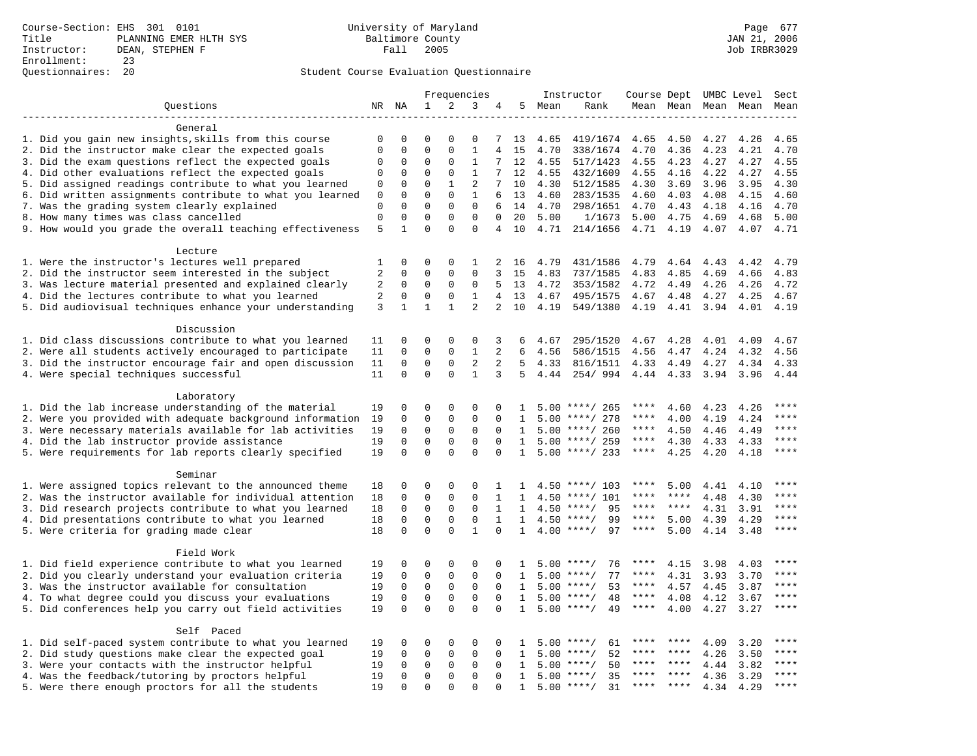|                                                                                                         |              |              |              |              | Frequencies       |                |              |              | Instructor           | Course Dept UMBC Level |              |              |              | Sect                   |
|---------------------------------------------------------------------------------------------------------|--------------|--------------|--------------|--------------|-------------------|----------------|--------------|--------------|----------------------|------------------------|--------------|--------------|--------------|------------------------|
| Questions                                                                                               |              | NR NA        | $\mathbf{1}$ | 2            | 3                 | 4              | 5            | Mean         | Rank                 |                        | Mean Mean    |              | Mean Mean    | Mean                   |
|                                                                                                         |              |              |              |              |                   |                |              |              |                      |                        |              |              |              |                        |
| General                                                                                                 |              |              |              |              |                   |                |              |              |                      |                        |              |              |              |                        |
| 1. Did you gain new insights, skills from this course                                                   | 0            | 0            | $\Omega$     | $\Omega$     | $\Omega$          | 7              | 13           | 4.65         | 419/1674             | 4.65                   | 4.50         | 4.27         | 4.26         | 4.65                   |
| 2. Did the instructor make clear the expected goals                                                     | $\mathbf{0}$ | $\mathbf 0$  | $\Omega$     | $\Omega$     | $\mathbf{1}$      | $\overline{4}$ | 15           | 4.70         | 338/1674             | 4.70                   | 4.36         | 4.23         | 4.21         | 4.70                   |
| 3. Did the exam questions reflect the expected goals                                                    | $\mathbf 0$  | $\mathbf 0$  | 0            | $\Omega$     | $\mathbf{1}$      | 7              | 12           | 4.55         | 517/1423             | 4.55                   | 4.23         | 4.27         | 4.27         | 4.55                   |
| 4. Did other evaluations reflect the expected goals                                                     | 0            | $\mathbf 0$  | $\mathbf 0$  | $\mathbf 0$  | $\mathbf{1}$      | 7              | 12           | 4.55         | 432/1609             | 4.55                   | 4.16         | 4.22         | 4.27         | 4.55                   |
| 5. Did assigned readings contribute to what you learned                                                 | $\mathbf 0$  | $\mathbf 0$  | $\mathbf 0$  | $\mathbf{1}$ | $\overline{2}$    | 7              | 10           | 4.30         | 512/1585             | 4.30                   | 3.69         | 3.96         | 3.95         | 4.30                   |
| 6. Did written assignments contribute to what you learned                                               | 0            | $\mathbf 0$  | $\mathbf 0$  | $\mathbf 0$  | 1                 | 6              | 13           | 4.60         | 283/1535             | 4.60                   | 4.03         | 4.08         | 4.15         | 4.60                   |
| 7. Was the grading system clearly explained                                                             | $\mathbf 0$  | $\Omega$     | $\Omega$     | $\mathbf{0}$ | $\mathbf 0$       | 6              | 14           | 4.70         | 298/1651             | 4.70                   | 4.43         | 4.18         | 4.16         | 4.70                   |
| 8. How many times was class cancelled                                                                   | $\mathbf{0}$ | $\mathbf{0}$ | $\mathbf 0$  | $\mathbf{0}$ | $\mathbf{0}$      | $\Omega$       | 20           | 5.00         | 1/1673               | 5.00                   | 4.75         | 4.69         | 4.68         | 5.00                   |
| 9. How would you grade the overall teaching effectiveness                                               | 5            | $\mathbf{1}$ | $\Omega$     | $\Omega$     | $\Omega$          | 4              | 10           | 4.71         | 214/1656             | 4.71                   | 4.19         | 4.07         | 4.07         | 4.71                   |
|                                                                                                         |              |              |              |              |                   |                |              |              |                      |                        |              |              |              |                        |
| Lecture                                                                                                 |              | $\mathbf 0$  | 0            | 0            |                   | 2              |              |              |                      |                        |              |              |              |                        |
| 1. Were the instructor's lectures well prepared<br>2. Did the instructor seem interested in the subject | 1<br>2       | $\mathbf 0$  | 0            | 0            | 1<br>$\mathbf{0}$ | 3              | 16<br>15     | 4.79<br>4.83 | 431/1586<br>737/1585 | 4.79<br>4.83           | 4.64         | 4.43<br>4.69 | 4.42<br>4.66 | 4.79<br>4.83           |
| 3. Was lecture material presented and explained clearly                                                 | 2            | $\mathbf 0$  | $\mathbf 0$  | $\mathbf 0$  | 0                 | 5              | 13           | 4.72         | 353/1582             | 4.72                   | 4.85<br>4.49 | 4.26         | 4.26         | 4.72                   |
| 4. Did the lectures contribute to what you learned                                                      | 2            | $\mathbf 0$  | $\mathbf 0$  | 0            | $\mathbf{1}$      | 4              | 13           | 4.67         | 495/1575             | 4.67                   | 4.48         | 4.27         | 4.25         | 4.67                   |
| 5. Did audiovisual techniques enhance your understanding                                                | 3            | $\mathbf{1}$ | $\mathbf{1}$ | $\mathbf{1}$ | $\overline{a}$    | $\overline{a}$ | 10           | 4.19         | 549/1380             | 4.19                   | 4.41         | 3.94         | 4.01         | 4.19                   |
|                                                                                                         |              |              |              |              |                   |                |              |              |                      |                        |              |              |              |                        |
| Discussion                                                                                              |              |              |              |              |                   |                |              |              |                      |                        |              |              |              |                        |
| 1. Did class discussions contribute to what you learned                                                 | 11           | 0            | 0            | 0            | 0                 | 3              | 6            | 4.67         | 295/1520             | 4.67                   | 4.28         | 4.01         | 4.09         | 4.67                   |
| 2. Were all students actively encouraged to participate                                                 | 11           | $\mathbf 0$  | $\mathbf 0$  | $\mathbf 0$  | $\mathbf{1}$      | 2              | 6            | 4.56         | 586/1515             | 4.56                   | 4.47         | 4.24         | 4.32         | 4.56                   |
| 3. Did the instructor encourage fair and open discussion                                                | 11           | $\mathbf 0$  | $\mathbf 0$  | $\mathbf{0}$ | $\overline{2}$    | $\overline{2}$ | 5            | 4.33         | 816/1511             | 4.33                   | 4.49         | 4.27         | 4.34         | 4.33                   |
| 4. Were special techniques successful                                                                   | 11           | $\Omega$     | $\Omega$     | $\Omega$     | $\mathbf{1}$      | 3              | 5            | 4.44         | 254/994              | 4.44                   | 4.33         | 3.94         | 3.96         | 4.44                   |
|                                                                                                         |              |              |              |              |                   |                |              |              |                      |                        |              |              |              |                        |
| Laboratory                                                                                              |              |              |              |              |                   |                |              |              |                      |                        |              |              |              |                        |
| 1. Did the lab increase understanding of the material                                                   | 19           | 0            | 0            | 0            | 0                 | $\Omega$       | $\mathbf{1}$ |              | $5.00$ ****/ 265     | ****                   | 4.60         | 4.23         | 4.26         | ****                   |
| 2. Were you provided with adequate background information                                               | 19           | $\mathbf 0$  | $\mathbf 0$  | $\mathbf 0$  | $\mathbf{0}$      | $\Omega$       | 1            |              | $5.00$ ****/ 278     | ****                   | 4.00         | 4.19         | 4.24         |                        |
| 3. Were necessary materials available for lab activities                                                | 19           | $\mathbf 0$  | $\mathbf 0$  | $\mathbf{0}$ | $\mathbf 0$       | $\Omega$       | 1            |              | $5.00$ ****/ 260     | ****                   | 4.50         | 4.46         | 4.49         | $***$ * * *            |
| 4. Did the lab instructor provide assistance                                                            | 19           | $\Omega$     | $\mathbf 0$  | $\mathsf 0$  | $\mathsf 0$       | $\Omega$       | $\mathbf{1}$ |              | $5.00$ ****/ 259     | ****                   | 4.30         | 4.33         | 4.33         | $***$                  |
| 5. Were requirements for lab reports clearly specified                                                  | 19           | $\mathbf 0$  | $\mathbf 0$  | $\Omega$     | $\mathbf 0$       | $\Omega$       | $\mathbf{1}$ |              | $5.00$ ****/ 233     | ****                   | 4.25         | 4.20         | 4.18         | ****                   |
|                                                                                                         |              |              |              |              |                   |                |              |              |                      |                        |              |              |              |                        |
| Seminar                                                                                                 |              |              |              |              |                   |                |              |              |                      |                        |              |              |              |                        |
| 1. Were assigned topics relevant to the announced theme                                                 | 18           | $\mathbf 0$  | 0            | $\mathbf{0}$ | 0                 | 1              | 1            |              | $4.50$ ****/ 103     | ****                   | 5.00         | 4.41         | 4.10         |                        |
| 2. Was the instructor available for individual attention                                                | 18           | $\mathbf 0$  | $\mathbf 0$  | $\mathbf{0}$ | $\mathbf 0$       | 1              | 1            | 4.50         | $***/101$            | ****                   | ****         | 4.48         | 4.30         | $***$                  |
| 3. Did research projects contribute to what you learned                                                 | 18           | $\mathbf 0$  | $\mathbf 0$  | $\mathsf 0$  | $\mathbf 0$       | $\mathbf{1}$   | $\mathbf{1}$ |              | $4.50$ ****/<br>95   | ****                   | $***$ * * *  | 4.31         | 3.91         | ****                   |
| 4. Did presentations contribute to what you learned                                                     | 18           | $\mathbf 0$  | $\mathbf 0$  | $\mathbf 0$  | $\mathbf 0$       | $\mathbf{1}$   | $\mathbf{1}$ | 4.50         | 99<br>$***$ /        | $***$ * *              | 5.00         | 4.39         | 4.29         | $\star\star\star\star$ |
| 5. Were criteria for grading made clear                                                                 | 18           | $\mathbf 0$  | $\mathbf 0$  | $\Omega$     | $\mathbf{1}$      | 0              | $\mathbf{1}$ |              | $4.00$ ****/<br>97   | $***$ * * *            | 5.00         | 4.14         | 3.48         | $***$                  |
|                                                                                                         |              |              |              |              |                   |                |              |              |                      |                        |              |              |              |                        |
| Field Work<br>1. Did field experience contribute to what you learned                                    | 19           | $\mathbf 0$  | 0            | 0            | $\Omega$          | $\Omega$       | $\mathbf{1}$ |              | $5.00$ ****/<br>76   | ****                   |              | 3.98         |              | $***$                  |
| 2. Did you clearly understand your evaluation criteria                                                  | 19           | $\mathbf 0$  | $\mathbf 0$  | $\mathbf 0$  | $\mathbf 0$       | $\Omega$       | $\mathbf{1}$ | 5.00         | 77<br>$***$ /        | ****                   | 4.15<br>4.31 | 3.93         | 4.03<br>3.70 | ****                   |
| 3. Was the instructor available for consultation                                                        | 19           | $\mathbf{0}$ | $\mathbf 0$  | $\mathsf 0$  | $\mathbf 0$       | $\mathbf 0$    | $\mathbf{1}$ | 5.00         | $***/$<br>53         | ****                   | 4.57         |              | 3.87         | $***$                  |
| 4. To what degree could you discuss your evaluations                                                    | 19           | $\mathbf 0$  | $\mathbf 0$  | $\mathbf 0$  | $\mathbf 0$       | $\mathbf 0$    | $\mathbf{1}$ |              | $5.00$ ****/<br>48   | $***$ * * *            | 4.08         | 4.45<br>4.12 | 3.67         | $***$                  |
| 5. Did conferences help you carry out field activities                                                  | 19           | $\Omega$     | $\mathbf 0$  | $\Omega$     | $\Omega$          | $\Omega$       | 1            | 5.00         | $***$ /<br>49        | ****                   | 4.00         | 4.27         | 3.27         | $***$                  |
|                                                                                                         |              |              |              |              |                   |                |              |              |                      |                        |              |              |              |                        |
| Self Paced                                                                                              |              |              |              |              |                   |                |              |              |                      |                        |              |              |              |                        |
| 1. Did self-paced system contribute to what you learned                                                 | 19           | $\mathbf 0$  | 0            | $\mathbf 0$  | $\Omega$          | $\Omega$       | -1.          |              | $5.00$ ****/<br>61   |                        | ****         | 4.09         | 3.20         | ****                   |
| 2. Did study questions make clear the expected goal                                                     | 19           | $\mathbf 0$  | 0            | $\mathsf 0$  | $\mathbf 0$       | $\mathbf{0}$   | 1            | 5.00         | $***$ /<br>52        | ****                   | $***$ *      | 4.26         | 3.50         | ****                   |
| 3. Were your contacts with the instructor helpful                                                       | 19           | $\mathsf 0$  | $\mathbf 0$  | $\mathsf 0$  | $\mathbf 0$       | $\mathbf 0$    | 1            | 5.00         | 50<br>$***/$         | ****                   | $* * * *$    | 4.44         | 3.82         | ****                   |
| 4. Was the feedback/tutoring by proctors helpful                                                        | 19           | $\mathbf 0$  | $\mathbf 0$  | $\mathbf 0$  | $\mathbf 0$       | $\Omega$       | $\mathbf{1}$ | 5.00         | $***/$<br>35         | ****                   | ****         | 4.36         | 3.29         | ****                   |
| 5. Were there enough proctors for all the students                                                      | 19           | $\Omega$     | $\Omega$     | $\Omega$     | $\Omega$          | $\Omega$       | $\mathbf{1}$ |              | $5.00$ ****/<br>31   | $***$ * *              | ****         | 4.34         | 4.29         | ****                   |
|                                                                                                         |              |              |              |              |                   |                |              |              |                      |                        |              |              |              |                        |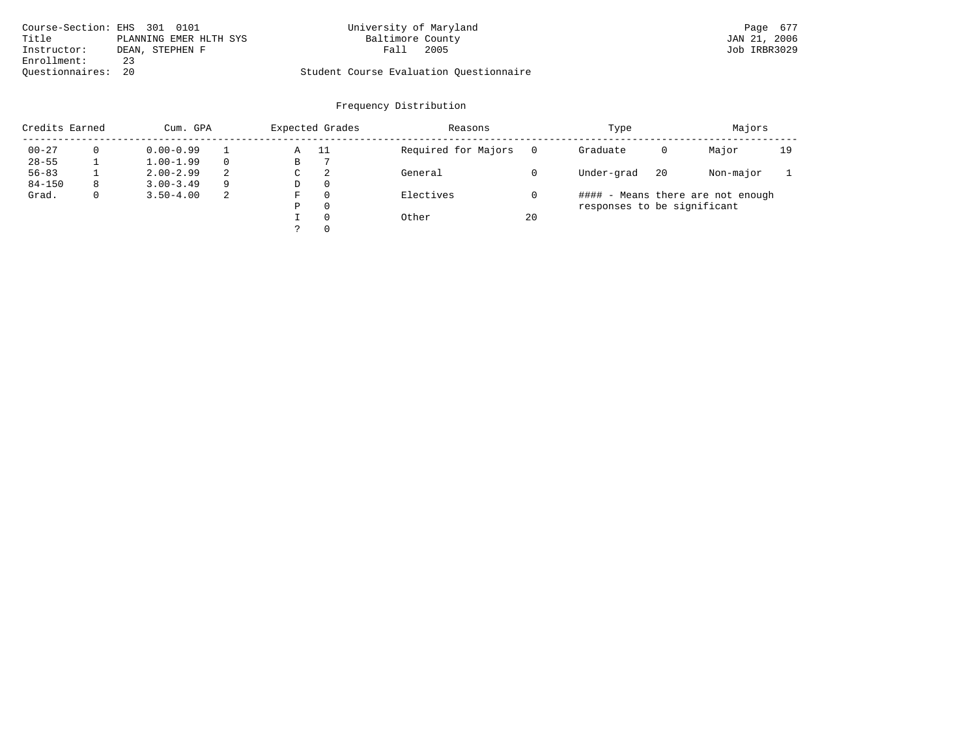| Course-Section: EHS 301 0101 |                        | University of Maryland                  | Page 677     |
|------------------------------|------------------------|-----------------------------------------|--------------|
| Title                        | PLANNING EMER HLTH SYS | Baltimore County                        | JAN 21, 2006 |
| Instructor:                  | DEAN, STEPHEN F        | 2005<br>Fall                            | Job IRBR3029 |
| Enrollment:                  | 23                     |                                         |              |
| Ouestionnaires: 20           |                        | Student Course Evaluation Ouestionnaire |              |

| Credits Earned |   | Cum. GPA      |    | Expected Grades |          | Reasons             |    | Type                        |    | Majors                            |    |
|----------------|---|---------------|----|-----------------|----------|---------------------|----|-----------------------------|----|-----------------------------------|----|
| $00 - 27$      |   | $0.00 - 0.99$ |    | Α               | - 11     | Required for Majors |    | Graduate                    | 0  | Major                             | 19 |
| $28 - 55$      |   | $1.00 - 1.99$ |    | В               |          |                     |    |                             |    |                                   |    |
| $56 - 83$      |   | $2.00 - 2.99$ | 2  | C               | -2       | General             |    | Under-grad                  | 20 | Non-major                         |    |
| $84 - 150$     | 8 | $3.00 - 3.49$ | 9  | D               | $\Omega$ |                     |    |                             |    |                                   |    |
| Grad.          | 0 | $3.50 - 4.00$ | -2 | F               | $\Omega$ | Electives           |    |                             |    | #### - Means there are not enough |    |
|                |   |               |    | Ρ               | $\Omega$ |                     |    | responses to be significant |    |                                   |    |
|                |   |               |    |                 | $\Omega$ | Other               | 20 |                             |    |                                   |    |
|                |   |               |    |                 | $\Omega$ |                     |    |                             |    |                                   |    |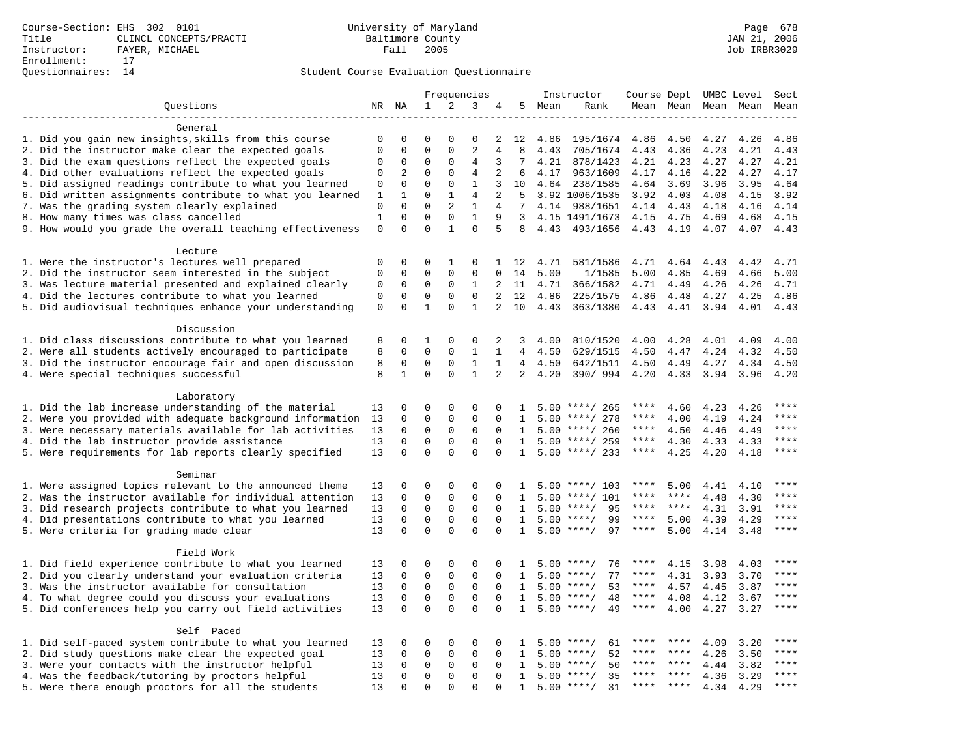|                                                           |              |                         |                         |                             | Frequencies              |                |                |      | Instructor         | Course Dept UMBC Level |           |      |           | Sect                |
|-----------------------------------------------------------|--------------|-------------------------|-------------------------|-----------------------------|--------------------------|----------------|----------------|------|--------------------|------------------------|-----------|------|-----------|---------------------|
| Questions                                                 |              | NR NA                   | $\mathbf{1}$            | 2                           | 3                        | 4              | 5              | Mean | Rank               |                        | Mean Mean |      | Mean Mean | Mean                |
|                                                           |              |                         |                         |                             |                          |                |                |      |                    |                        |           |      |           |                     |
| General                                                   |              |                         |                         |                             |                          |                |                |      |                    |                        |           |      |           |                     |
| 1. Did you gain new insights, skills from this course     | 0            | 0                       | $\Omega$                | $\Omega$                    | $\Omega$                 | 2              | 12             | 4.86 | 195/1674           | 4.86                   | 4.50      | 4.27 | 4.26      | 4.86                |
| 2. Did the instructor make clear the expected goals       | $\mathbf{0}$ | $\mathbf 0$             | $\mathbf 0$             | $\mathbf{0}$                | $\overline{2}$           | $\overline{4}$ | 8              | 4.43 | 705/1674           | 4.43                   | 4.36      | 4.23 | 4.21      | 4.43                |
| 3. Did the exam questions reflect the expected goals      | 0            | $\mathbf 0$             | 0                       | $\mathbf 0$                 | 4                        | 3              | 7              | 4.21 | 878/1423           | 4.21                   | 4.23      | 4.27 | 4.27      | 4.21                |
| 4. Did other evaluations reflect the expected goals       | $\mathbf 0$  | 2                       | $\Omega$                | $\Omega$                    | $\overline{4}$           | 2              | 6              | 4.17 | 963/1609           | 4.17                   | 4.16      | 4.22 | 4.27      | 4.17                |
| 5. Did assigned readings contribute to what you learned   | $\mathbf 0$  | $\mathbf 0$             | $\mathbf 0$             | $\mathbf 0$                 | $\mathbf{1}$             | 3              | 10             | 4.64 | 238/1585           | 4.64                   | 3.69      | 3.96 | 3.95      | 4.64                |
| 6. Did written assignments contribute to what you learned | 1            | $\mathbf 1$             | $\mathbf 0$             | $\mathbf{1}$                | 4                        | 2              | 5              |      | 3.92 1006/1535     | 3.92                   | 4.03      | 4.08 | 4.15      | 3.92                |
| 7. Was the grading system clearly explained               | $\mathbf 0$  | $\Omega$                | $\Omega$                | $\overline{2}$              | 1                        | 4              | $7^{\circ}$    |      | 4.14 988/1651      | 4.14 4.43              |           | 4.18 | 4.16      | 4.14                |
| 8. How many times was class cancelled                     | $\mathbf{1}$ | $\mathbf 0$<br>$\Omega$ | $\mathbf 0$<br>$\Omega$ | $\mathbf 0$<br>$\mathbf{1}$ | $\mathbf{1}$<br>$\Omega$ | 9<br>5         | 3              |      | 4.15 1491/1673     | 4.15                   | 4.75      | 4.69 | 4.68      | 4.15                |
| 9. How would you grade the overall teaching effectiveness | $\mathbf{0}$ |                         |                         |                             |                          |                | 8              | 4.43 | 493/1656           | 4.43                   | 4.19      | 4.07 | 4.07      | 4.43                |
| Lecture                                                   |              |                         |                         |                             |                          |                |                |      |                    |                        |           |      |           |                     |
| 1. Were the instructor's lectures well prepared           | $\mathbf 0$  | $\mathbf 0$             | $\mathbf 0$             | 1                           | 0                        |                | 1 12           | 4.71 | 581/1586           | 4.71                   | 4.64      | 4.43 | 4.42      | 4.71                |
| 2. Did the instructor seem interested in the subject      | $\mathbf{0}$ | $\mathbf 0$             | $\mathbf 0$             | $\mathbf{0}$                | $\mathbf 0$              | 0              | 14             | 5.00 | 1/1585             | 5.00                   | 4.85      | 4.69 | 4.66      | 5.00                |
| 3. Was lecture material presented and explained clearly   | 0            | $\mathbf 0$             | 0                       | $\mathbf 0$                 | 1                        | 2              | 11             | 4.71 | 366/1582           | 4.71                   | 4.49      | 4.26 | 4.26      | 4.71                |
| 4. Did the lectures contribute to what you learned        | $\mathbf 0$  | $\mathbf 0$             | 0                       | $\mathbf 0$                 | $\Omega$                 | 2              | 12             | 4.86 | 225/1575           | 4.86                   | 4.48      | 4.27 | 4.25      | 4.86                |
| 5. Did audiovisual techniques enhance your understanding  | $\mathbf 0$  | $\mathbf 0$             | $\mathbf{1}$            | $\Omega$                    | $\mathbf{1}$             | $\overline{2}$ | 10             | 4.43 | 363/1380           | 4.43                   | 4.41      | 3.94 | 4.01      | 4.43                |
|                                                           |              |                         |                         |                             |                          |                |                |      |                    |                        |           |      |           |                     |
| Discussion                                                |              |                         |                         |                             |                          |                |                |      |                    |                        |           |      |           |                     |
| 1. Did class discussions contribute to what you learned   | 8            | $\mathbf 0$             | 1                       | $\mathbf 0$                 | 0                        | 2              | 3              | 4.00 | 810/1520           | 4.00                   | 4.28      | 4.01 | 4.09      | 4.00                |
| 2. Were all students actively encouraged to participate   | 8            | $\mathbf 0$             | $\mathbf 0$             | $\mathbf 0$                 | $\mathbf{1}$             | $\mathbf{1}$   | $\overline{4}$ | 4.50 | 629/1515           | 4.50                   | 4.47      | 4.24 | 4.32      | 4.50                |
| 3. Did the instructor encourage fair and open discussion  | 8            | 0                       | $\mathbf 0$             | $\mathbf 0$                 | $1\,$                    | 1              | 4              | 4.50 | 642/1511           | 4.50                   | 4.49      | 4.27 | 4.34      | 4.50                |
| 4. Were special techniques successful                     | 8            | $\mathbf{1}$            | $\Omega$                | $\Omega$                    | $\mathbf{1}$             | $\overline{2}$ | 2              | 4.20 | 390/994            | 4.20                   | 4.33      | 3.94 | 3.96      | 4.20                |
|                                                           |              |                         |                         |                             |                          |                |                |      |                    |                        |           |      |           |                     |
| Laboratory                                                |              |                         |                         |                             |                          |                |                |      |                    |                        |           |      |           |                     |
| 1. Did the lab increase understanding of the material     | 13           | $\Omega$                | 0                       | 0                           | 0                        | $\Omega$       | $\mathbf{1}$   |      | $5.00$ ****/ 265   | ****                   | 4.60      | 4.23 | 4.26      |                     |
| 2. Were you provided with adequate background information | 13           | $\mathbf 0$             | $\mathbf 0$             | $\mathbf 0$                 | $\mathbf 0$              | $\mathbf 0$    | 1              |      | $5.00$ ****/ 278   | $***$ * * *            | 4.00      | 4.19 | 4.24      | ****                |
| 3. Were necessary materials available for lab activities  | 13           | $\mathbf 0$             | $\mathbf 0$             | $\mathbf 0$                 | $\mathbf 0$              | $\mathbf 0$    | 1              |      | $5.00$ ****/ 260   | $***$ * * *            | 4.50      | 4.46 | 4.49      | $***$               |
| 4. Did the lab instructor provide assistance              | 13           | $\mathbf 0$             | $\mathbf 0$             | $\mathbf{0}$                | $\mathbf{0}$             | $\Omega$       | $\mathbf{1}$   |      | $5.00$ ****/ 259   | ****                   | 4.30      | 4.33 | 4.33      | $***$ * * *         |
| 5. Were requirements for lab reports clearly specified    | 13           | $\Omega$                | $\Omega$                | $\Omega$                    | $\Omega$                 | $\Omega$       | $\mathbf{1}$   |      | $5.00$ ****/ 233   | $***$ * * *            | 4.25      | 4.20 | 4.18      | * * * *             |
|                                                           |              |                         |                         |                             |                          |                |                |      |                    |                        |           |      |           |                     |
| Seminar                                                   |              |                         |                         |                             |                          |                |                |      |                    |                        |           |      |           |                     |
| 1. Were assigned topics relevant to the announced theme   | 13           | 0                       | 0                       | $\mathsf 0$                 | $\Omega$                 | $\Omega$       |                |      | $5.00$ ****/ 103   | ****                   | 5.00      | 4.41 | 4.10      | ****<br>****        |
| 2. Was the instructor available for individual attention  | 13           | $\mathbf 0$             | 0                       | $\mathsf 0$                 | $\mathbf 0$              | 0              | 1              | 5.00 | $***/101$          | ****                   | ****      | 4.48 | 4.30      | ****                |
| 3. Did research projects contribute to what you learned   | 13           | $\mathbf 0$             | $\mathbf 0$             | $\mathsf 0$                 | $\mathbf 0$              | $\mathbf 0$    | 1              |      | 95<br>$5.00$ ****/ | $***$ * * *            | ****      | 4.31 | 3.91      |                     |
| 4. Did presentations contribute to what you learned       | 13           | $\mathbf 0$             | $\mathbf 0$             | $\mathbf 0$                 | 0                        | $\Omega$       | 1              | 5.00 | $***/$<br>99       | $***$ * *              | 5.00      | 4.39 | 4.29      | $***$ * * *<br>**** |
| 5. Were criteria for grading made clear                   | 13           | $\mathbf 0$             | $\Omega$                | $\Omega$                    | $\Omega$                 | $\Omega$       | $\mathbf{1}$   |      | $5.00$ ****/<br>97 | ****                   | 5.00      | 4.14 | 3.48      |                     |
| Field Work                                                |              |                         |                         |                             |                          |                |                |      |                    |                        |           |      |           |                     |
| 1. Did field experience contribute to what you learned    | 13           | $\Omega$                | $\Omega$                | $\Omega$                    | $\Omega$                 | $\Omega$       | $\mathbf{1}$   |      | $5.00$ ****/<br>76 | ****                   | 4.15      | 3.98 | 4.03      | ****                |
| 2. Did you clearly understand your evaluation criteria    | 13           | $\mathbf 0$             | $\mathbf 0$             | $\mathbf 0$                 | $\mathbf 0$              | $\mathbf 0$    | 1              | 5.00 | 77<br>$***/$       | ****                   | 4.31      | 3.93 | 3.70      | $***$               |
| 3. Was the instructor available for consultation          | 13           | $\mathbf 0$             | $\mathbf 0$             | 0                           | 0                        | $\mathbf 0$    | 1              | 5.00 | $***/$<br>53       | ****                   | 4.57      | 4.45 | 3.87      | ****                |
| 4. To what degree could you discuss your evaluations      | 13           | $\mathbf 0$             | $\mathbf 0$             | $\mathbf{0}$                | $\mathbf 0$              | $\Omega$       | 1              |      | $5.00$ ****/<br>48 | $***$ * *              | 4.08      | 4.12 | 3.67      | $***$               |
| 5. Did conferences help you carry out field activities    | 13           | $\Omega$                | $\Omega$                | $\Omega$                    | $\Omega$                 | $\Omega$       | $\mathbf{1}$   | 5.00 | $* * * * /$<br>49  | $***$ * * *            | 4.00      | 4.27 | 3.27      | $***$               |
|                                                           |              |                         |                         |                             |                          |                |                |      |                    |                        |           |      |           |                     |
| Self Paced                                                |              |                         |                         |                             |                          |                |                |      |                    |                        |           |      |           |                     |
| 1. Did self-paced system contribute to what you learned   | 13           | 0                       | 0                       | $\mathsf 0$                 | $\Omega$                 | $\Omega$       | $\mathbf{1}$   |      | 61<br>$5.00$ ****/ | ****                   | ****      | 4.09 | 3.20      | $***$ * * *         |
| 2. Did study questions make clear the expected goal       | 13           | $\mathbf 0$             | $\mathbf 0$             | $\mathbf 0$                 | $\mathbf 0$              | $\mathbf{0}$   | 1              | 5.00 | $***/$<br>52       | ****                   | $* * * *$ | 4.26 | 3.50      | ****                |
| 3. Were your contacts with the instructor helpful         | 13           | $\mathbf 0$             | $\mathbf 0$             | $\mathbf 0$                 | $\mathbf 0$              | $\Omega$       | 1              | 5.00 | 50<br>$***$ /      | ****                   | ****      | 4.44 | 3.82      | ****                |
| 4. Was the feedback/tutoring by proctors helpful          | 13           | $\mathbf 0$             | $\mathbf 0$             | $\mathbf 0$                 | $\mathbf 0$              | $\Omega$       | $\mathbf{1}$   | 5.00 | 35<br>$***/$       |                        |           | 4.36 | 3.29      | ****                |
| 5. Were there enough proctors for all the students        | 13           | $\mathbf 0$             | $\Omega$                | $\Omega$                    | $\Omega$                 |                | $\mathbf{1}$   |      | $5.00$ ****/<br>31 | $***$ * *              | $***$     | 4.34 | 4.29      | ****                |
|                                                           |              |                         |                         |                             |                          |                |                |      |                    |                        |           |      |           |                     |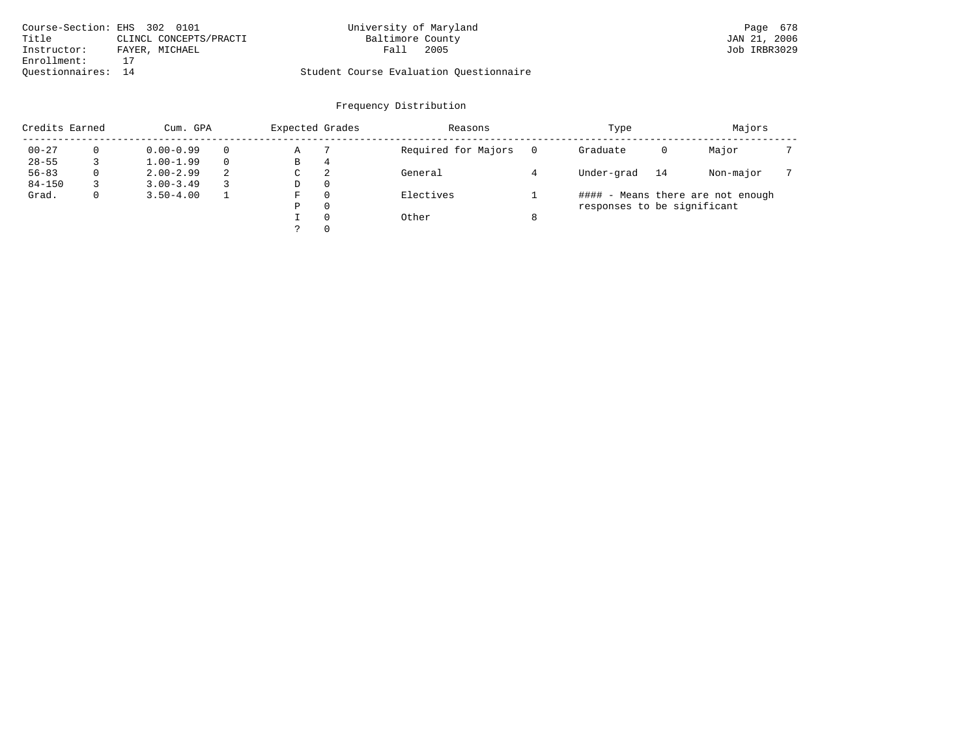| Course-Section: EHS 302 0101 |                        | University of Maryland                  |      | Page 678     |
|------------------------------|------------------------|-----------------------------------------|------|--------------|
| Title                        | CLINCL CONCEPTS/PRACTI | Baltimore County                        |      | JAN 21, 2006 |
| Instructor:                  | FAYER, MICHAEL         | Fall                                    | 2005 | Job IRBR3029 |
| Enrollment:                  |                        |                                         |      |              |
| Ouestionnaires: 14           |                        | Student Course Evaluation Ouestionnaire |      |              |

| Credits Earned |   | Cum. GPA      |          | Expected Grades |          | Reasons             |   | Type                        |    | Majors                            |  |
|----------------|---|---------------|----------|-----------------|----------|---------------------|---|-----------------------------|----|-----------------------------------|--|
| $00 - 27$      | 0 | $0.00 - 0.99$ | $\Omega$ | Α               |          | Required for Majors |   | Graduate                    | 0  | Major                             |  |
| $28 - 55$      |   | $1.00 - 1.99$ | $\Omega$ | В               | 4        |                     |   |                             |    |                                   |  |
| $56 - 83$      | 0 | $2.00 - 2.99$ | 2        | C               | 2        | General             |   | Under-grad                  | 14 | Non-major                         |  |
| $84 - 150$     |   | $3.00 - 3.49$ | 3        | D               | 0        |                     |   |                             |    |                                   |  |
| Grad.          | 0 | $3.50 - 4.00$ |          | F.              | 0        | Electives           |   |                             |    | #### - Means there are not enough |  |
|                |   |               |          | Ρ               | 0        |                     |   | responses to be significant |    |                                   |  |
|                |   |               |          |                 | $\Omega$ | Other               | 8 |                             |    |                                   |  |
|                |   |               |          |                 | $\Omega$ |                     |   |                             |    |                                   |  |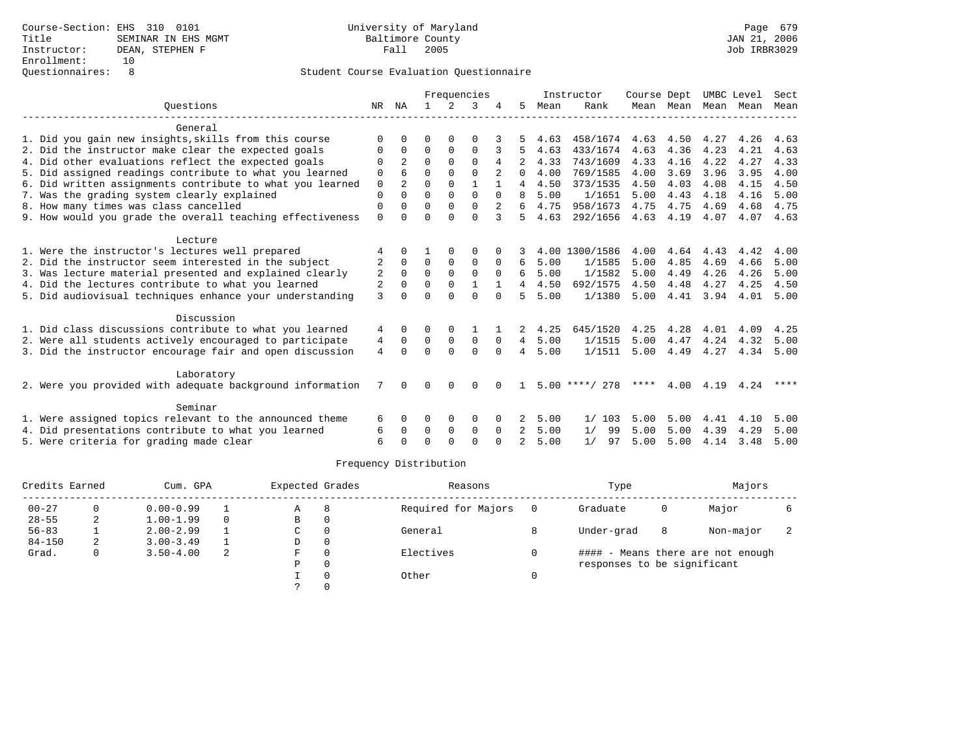|                                                           |              |                |             |               | Frequencies  |          |                |      | Instructor       | Course Dept |           | UMBC Level |      | Sect      |
|-----------------------------------------------------------|--------------|----------------|-------------|---------------|--------------|----------|----------------|------|------------------|-------------|-----------|------------|------|-----------|
| Ouestions                                                 |              | NR NA          |             | $\mathcal{L}$ | 3            |          | 5              | Mean | Rank             |             | Mean Mean | Mean       | Mean | Mean      |
| General                                                   |              |                |             |               |              |          |                |      |                  |             |           |            |      |           |
| 1. Did you gain new insights, skills from this course     | ∩            |                | U           |               | ∩            |          |                | 4.63 | 458/1674         | 4.63        | 4.50      | 4.27       | 4.26 | 4.63      |
| 2. Did the instructor make clear the expected goals       | 0            | $\Omega$       | $\Omega$    | $\Omega$      | $\Omega$     |          |                | 4.63 | 433/1674         | 4.63        | 4.36      | 4.23       | 4.21 | 4.63      |
| 4. Did other evaluations reflect the expected goals       | $\Omega$     | $\overline{2}$ | $\Omega$    | $\Omega$      | $\Omega$     | 4        |                | 4.33 | 743/1609         | 4.33        | 4.16      | 4.22       | 4.27 | 4.33      |
| 5. Did assigned readings contribute to what you learned   | 0            |                | $\Omega$    | $\Omega$      | $\Omega$     |          | 0              | 4.00 | 769/1585         | 4.00        | 3.69      | 3.96       | 3.95 | 4.00      |
| 6. Did written assignments contribute to what you learned | $\mathbf 0$  | 2              | 0           | $\Omega$      | $\mathbf{1}$ |          | 4              | 4.50 | 373/1535         | 4.50        | 4.03      | 4.08       | 4.15 | 4.50      |
| 7. Was the grading system clearly explained               | $\Omega$     | $\Omega$       | $\Omega$    | $\Omega$      | $\Omega$     | $\Omega$ | 8              | 5.00 | 1/1651           | 5.00        | 4.43      | 4.18       | 4.16 | 5.00      |
| 8. How many times was class cancelled                     | $\Omega$     |                | $\Omega$    | $\Omega$      | $\Omega$     |          | б.             | 4.75 | 958/1673         | 4.75        | 4.75      | 4.69       | 4.68 | 4.75      |
| 9. How would you grade the overall teaching effectiveness | $\Omega$     | <sup>0</sup>   | $\Omega$    | $\cap$        | $\Omega$     | 3        | 5.             | 4.63 | 292/1656         |             | 4.63 4.19 | 4.07       |      | 4.07 4.63 |
| Lecture                                                   |              |                |             |               |              |          |                |      |                  |             |           |            |      |           |
| 1. Were the instructor's lectures well prepared           |              |                |             |               | $\Omega$     |          |                |      | 4.00 1300/1586   | 4.00        | 4.64      | 4.43       | 4.42 | 4.00      |
| 2. Did the instructor seem interested in the subject      |              | $\Omega$       | $\Omega$    | $\mathbf 0$   | $\Omega$     | $\Omega$ | 6              | 5.00 | 1/1585           | 5.00        | 4.85      | 4.69       | 4.66 | 5.00      |
| 3. Was lecture material presented and explained clearly   | 2            | 0              | $\Omega$    | $\Omega$      | $\Omega$     | $\Omega$ | б.             | 5.00 | 1/1582           | 5.00        | 4.49      | 4.26       | 4.26 | 5.00      |
| 4. Did the lectures contribute to what you learned        | 2            | $\Omega$       | $\mathbf 0$ | $\mathbf 0$   | $\mathbf{1}$ |          | $\overline{4}$ | 4.50 | 692/1575         | 4.50        | 4.48      | 4.27       | 4.25 | 4.50      |
| 5. Did audiovisual techniques enhance your understanding  | $\mathbf{3}$ | <sup>n</sup>   | $\cap$      | $\Omega$      | $\Omega$     | $\Omega$ | 5              | 5.00 | 1/1380           | 5.00        | 4.41      | 3.94       | 4.01 | 5.00      |
| Discussion                                                |              |                |             |               |              |          |                |      |                  |             |           |            |      |           |
| 1. Did class discussions contribute to what you learned   | 4            | 0              | 0           | $\Omega$      |              |          | 2              | 4.25 | 645/1520         | 4.25        | 4.28      | 4.01       | 4.09 | 4.25      |
| 2. Were all students actively encouraged to participate   | 4            | $\Omega$       | $\Omega$    | $\mathbf 0$   | $\Omega$     | $\Omega$ | $\overline{4}$ | 5.00 | 1/1515           | 5.00        | 4.47      | 4.24       | 4.32 | 5.00      |
| 3. Did the instructor encourage fair and open discussion  | 4            | $\Omega$       | $\Omega$    | $\Omega$      | $\Omega$     | $\Omega$ | $\overline{4}$ | 5.00 | 1/1511           | 5.00        | 4.49      | 4.27       | 4.34 | 5.00      |
| Laboratory                                                |              |                |             |               |              |          |                |      |                  |             |           |            |      |           |
| 2. Were you provided with adequate background information | 7            | $\Omega$       | $\Omega$    | $\Omega$      | $\Omega$     | $\Omega$ | -1.            |      | $5.00$ ****/ 278 | ****        | 4.00      | 4.19       | 4.24 | ****      |
| Seminar                                                   |              |                |             |               |              |          |                |      |                  |             |           |            |      |           |
| 1. Were assigned topics relevant to the announced theme   | 6            | $\Omega$       | $\Omega$    | 0             | 0            |          |                | 5.00 | 1/103            | 5.00        | 5.00      | 4.41       | 4.10 | 5.00      |
| 4. Did presentations contribute to what you learned       | 6            | $\Omega$       | $\Omega$    | $\Omega$      | $\Omega$     | $\Omega$ | $\overline{2}$ | 5.00 | 99<br>1/         | 5.00        | 5.00      | 4.39       | 4.29 | 5.00      |
| 5. Were criteria for grading made clear                   | 6            |                | $\Omega$    | $\cap$        | $\cap$       |          | $\mathcal{D}$  | 5.00 | 1/<br>97         | 5.00        | 5.00      | 4.14       | 3.48 | 5.00      |

| Credits Earned |   | Cum. GPA      |          | Expected Grades |          | Reasons             | Type                        |   | Majors                            |  |
|----------------|---|---------------|----------|-----------------|----------|---------------------|-----------------------------|---|-----------------------------------|--|
| $00 - 27$      | 0 | $0.00 - 0.99$ |          | Α               | 8        | Required for Majors | Graduate                    | 0 | Major                             |  |
| $28 - 55$      | 2 | $1.00 - 1.99$ | $\Omega$ | в               | 0        |                     |                             |   |                                   |  |
| $56 - 83$      |   | $2.00 - 2.99$ |          | C               | $\Omega$ | General             | Under-grad                  | 8 | Non-major                         |  |
| $84 - 150$     | 2 | $3.00 - 3.49$ |          | D               | $\Omega$ |                     |                             |   |                                   |  |
| Grad.          | 0 | $3.50 - 4.00$ | 2        | F               | $\Omega$ | Electives           |                             |   | #### - Means there are not enough |  |
|                |   |               |          | Ρ               | 0        |                     | responses to be significant |   |                                   |  |
|                |   |               |          |                 |          | Other               |                             |   |                                   |  |
|                |   |               |          |                 |          |                     |                             |   |                                   |  |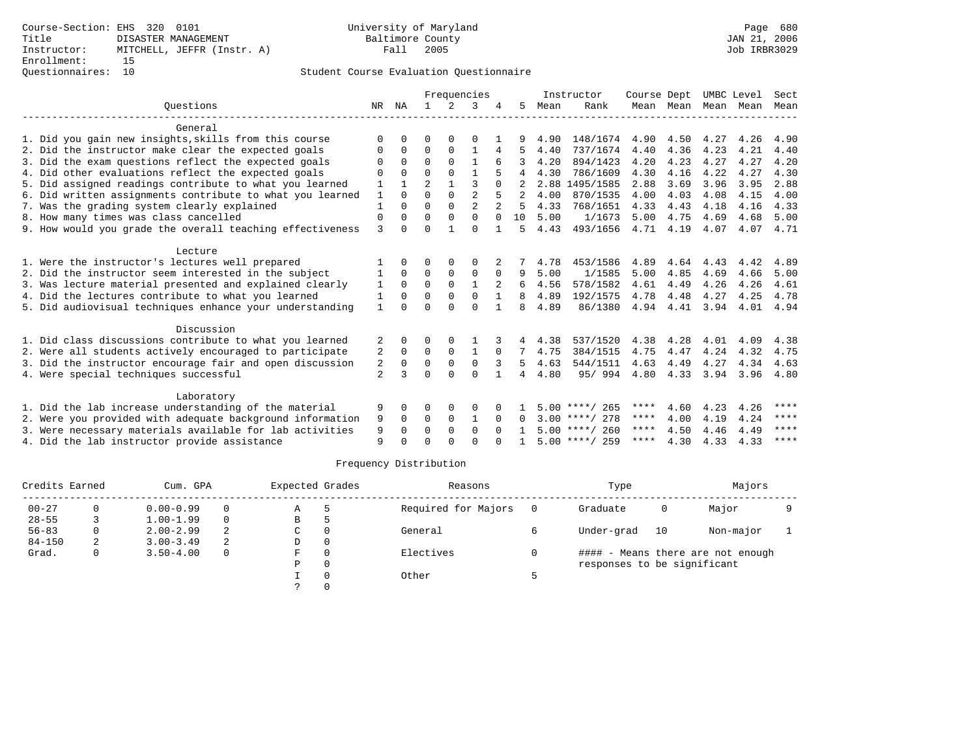|                                                           |                |              |                |              | Frequencies    |              |          |      | Instructor       | Course Dept |           |      | UMBC Level | Sect |
|-----------------------------------------------------------|----------------|--------------|----------------|--------------|----------------|--------------|----------|------|------------------|-------------|-----------|------|------------|------|
| Ouestions                                                 | NR             | ΝA           |                | 2            | 3              |              | 5        | Mean | Rank             |             | Mean Mean | Mean | Mean       | Mean |
| General                                                   |                |              |                |              |                |              |          |      |                  |             |           |      |            |      |
| 1. Did you gain new insights, skills from this course     | $\Omega$       | $\Omega$     | U              | $\Omega$     | O              |              | 9        | 4.90 | 148/1674         | 4.90        | 4.50      | 4.27 | 4.26       | 4.90 |
| 2. Did the instructor make clear the expected goals       | O              | $\mathbf 0$  | $\Omega$       | $\Omega$     | $\mathbf{1}$   | 4            |          | 4.40 | 737/1674         | 4.40        | 4.36      | 4.23 | 4.21       | 4.40 |
| 3. Did the exam questions reflect the expected goals      | O              | $\Omega$     | $\Omega$       | $\Omega$     | $\mathbf{1}$   | 6            | 3        | 4.20 | 894/1423         | 4.20        | 4.23      | 4.27 | 4.27       | 4.20 |
| 4. Did other evaluations reflect the expected goals       | O              | $\Omega$     | $\Omega$       | $\Omega$     |                |              | 4        | 4.30 | 786/1609         | 4.30        | 4.16      | 4.22 | 4.27       | 4.30 |
| 5. Did assigned readings contribute to what you learned   | 1              | $\mathbf{1}$ | $\overline{a}$ | $\mathbf{1}$ | 3              | $\Omega$     |          |      | 2.88 1495/1585   | 2.88        | 3.69      | 3.96 | 3.95       | 2.88 |
| 6. Did written assignments contribute to what you learned | 1              | $\Omega$     | $\Omega$       | $\Omega$     | $\overline{2}$ |              | 2        | 4.00 | 870/1535         | 4.00        | 4.03      | 4.08 | 4.15       | 4.00 |
| 7. Was the grading system clearly explained               | $\mathbf{1}$   | $\Omega$     | 0              | $\Omega$     | $\overline{a}$ |              | 5        | 4.33 | 768/1651         | 4.33        | 4.43      | 4.18 | 4.16       | 4.33 |
| 8. How many times was class cancelled                     | 0              | $\Omega$     | $\Omega$       | $\Omega$     | $\Omega$       | $\Omega$     | 10       | 5.00 | 1/1673           | 5.00        | 4.75      | 4.69 | 4.68       | 5.00 |
| 9. How would you grade the overall teaching effectiveness | 3              | $\Omega$     | 0              | $\mathbf{1}$ | $\Omega$       |              | 5        | 4.43 | 493/1656         | 4.71        | 4.19      | 4.07 | 4.07       | 4.71 |
| Lecture                                                   |                |              |                |              |                |              |          |      |                  |             |           |      |            |      |
| 1. Were the instructor's lectures well prepared           |                | $\Omega$     | 0              | $\Omega$     | 0              | 2            |          | 4.78 | 453/1586         | 4.89        | 4.64      | 4.43 | 4.42       | 4.89 |
| 2. Did the instructor seem interested in the subject      | 1              | $\Omega$     | 0              | $\mathbf 0$  | 0              | $\Omega$     | 9        | 5.00 | 1/1585           | 5.00        | 4.85      | 4.69 | 4.66       | 5.00 |
| 3. Was lecture material presented and explained clearly   | 1              | $\Omega$     | $\Omega$       | $\Omega$     | $\mathbf{1}$   | 2            | 6        | 4.56 | 578/1582         | 4.61        | 4.49      | 4.26 | 4.26       | 4.61 |
| 4. Did the lectures contribute to what you learned        | 1              | $\Omega$     | $\Omega$       | $\Omega$     | $\Omega$       |              | 8        | 4.89 | 192/1575         | 4.78        | 4.48      | 4.27 | 4.25       | 4.78 |
| 5. Did audiovisual techniques enhance your understanding  | $\mathbf{1}$   | $\Omega$     | $\Omega$       | $\Omega$     | $\Omega$       |              | 8        | 4.89 | 86/1380          |             | 4.94 4.41 | 3.94 | 4.01       | 4.94 |
| Discussion                                                |                |              |                |              |                |              |          |      |                  |             |           |      |            |      |
| 1. Did class discussions contribute to what you learned   |                | 0            | 0              | 0            |                |              | 4        | 4.38 | 537/1520         | 4.38        | 4.28      | 4.01 | 4.09       | 4.38 |
| 2. Were all students actively encouraged to participate   | 2              | $\Omega$     | $\Omega$       | $\Omega$     | $\mathbf{1}$   | $\Omega$     | 7        | 4.75 | 384/1515         | 4.75        | 4.47      | 4.24 | 4.32       | 4.75 |
| 3. Did the instructor encourage fair and open discussion  | 2              | $\Omega$     | $\Omega$       | $\mathbf{0}$ | $\mathbf 0$    | 3            | 5        | 4.63 | 544/1511         | 4.63        | 4.49      | 4.27 | 4.34       | 4.63 |
| 4. Were special techniques successful                     | $\overline{a}$ | २            | U              | $\Omega$     | $\Omega$       | <sup>1</sup> | 4        | 4.80 | 95/994           | 4.80        | 4.33      | 3.94 | 3.96       | 4.80 |
| Laboratory                                                |                |              |                |              |                |              |          |      |                  |             |           |      |            |      |
| 1. Did the lab increase understanding of the material     | 9              | $\Omega$     | 0              | $\Omega$     | $\Omega$       |              |          |      | $5.00$ ****/ 265 | ****        | 4.60      | 4.23 | 4.26       | **** |
| 2. Were you provided with adequate background information | 9              | $\Omega$     | $\Omega$       | $\Omega$     | $\mathbf{1}$   | $\Omega$     | $\Omega$ |      | $3.00$ ****/ 278 | ****        | 4.00      | 4.19 | 4.24       | **** |
| 3. Were necessary materials available for lab activities  | 9              | $\Omega$     | $\Omega$       | $\Omega$     | $\Omega$       | $\Omega$     |          |      | $5.00$ ****/ 260 | $***$ * * * | 4.50      | 4.46 | 4.49       | **** |
| 4. Did the lab instructor provide assistance              | 9              |              | U              | U            | $\cap$         |              |          |      | $5.00$ ****/ 259 | ****        | 4.30      | 4.33 | 4.33       | **** |

| Credits Earned |   | Cum. GPA      |          | Expected Grades |          | Reasons             |     | Type                        |    | Majors                            |  |
|----------------|---|---------------|----------|-----------------|----------|---------------------|-----|-----------------------------|----|-----------------------------------|--|
| $00 - 27$      | 0 | $0.00 - 0.99$ | $\Omega$ | Α               |          | Required for Majors | - 0 | Graduate                    | 0  | Major                             |  |
| $28 - 55$      |   | $1.00 - 1.99$ | $\Omega$ | В               |          |                     |     |                             |    |                                   |  |
| $56 - 83$      | 0 | $2.00 - 2.99$ | 2        | C               | $\Omega$ | General             | 6   | Under-grad                  | 10 | Non-major                         |  |
| $84 - 150$     | 2 | $3.00 - 3.49$ | -2       | D               | 0        |                     |     |                             |    |                                   |  |
| Grad.          | 0 | $3.50 - 4.00$ | $\Omega$ | F.              | $\Omega$ | Electives           |     |                             |    | #### - Means there are not enough |  |
|                |   |               |          | Ρ               | 0        |                     |     | responses to be significant |    |                                   |  |
|                |   |               |          |                 |          | Other               |     |                             |    |                                   |  |
|                |   |               |          |                 |          |                     |     |                             |    |                                   |  |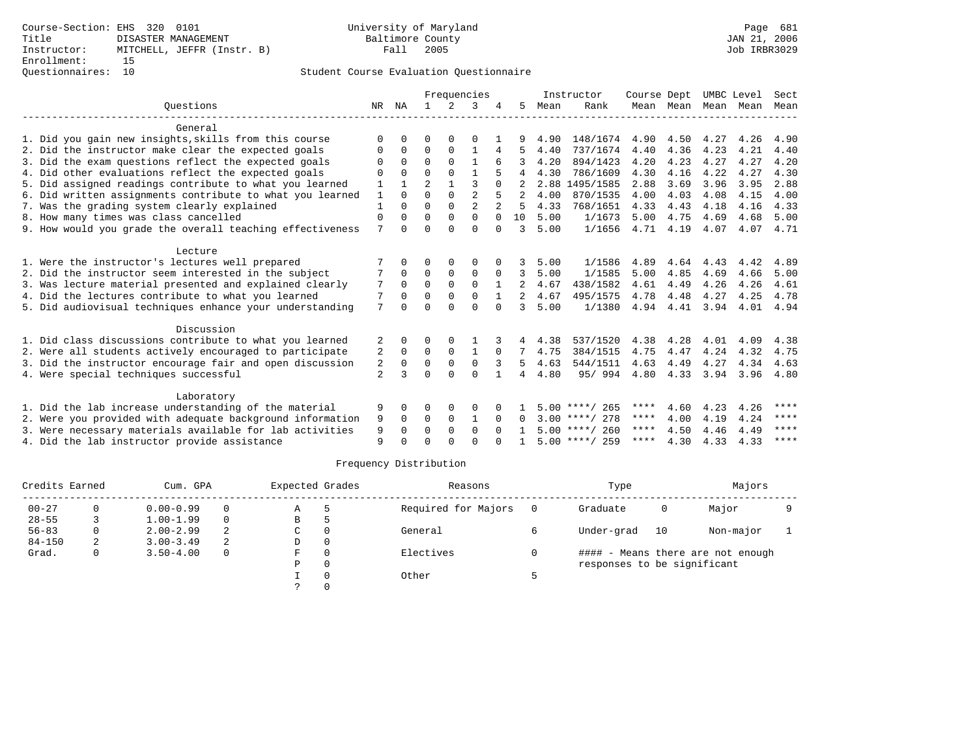### Questionnaires: 10 Student Course Evaluation Questionnaire

|                                                           |                |              |                |              | Frequencies    |              |          |      | Instructor       | Course Dept |      |                     | UMBC Level | Sect    |
|-----------------------------------------------------------|----------------|--------------|----------------|--------------|----------------|--------------|----------|------|------------------|-------------|------|---------------------|------------|---------|
| Ouestions                                                 | NR             | ΝA           |                | 2            | 3              |              | 5.       | Mean | Rank             |             |      | Mean Mean Mean Mean |            | Mean    |
| General                                                   |                |              |                |              |                |              |          |      |                  |             |      |                     |            |         |
| 1. Did you gain new insights, skills from this course     | U              | U            | O              |              | O              |              |          | 4.90 | 148/1674         | 4.90        | 4.50 | 4.27                | 4.26       | 4.90    |
| 2. Did the instructor make clear the expected goals       | 0              | $\mathbf 0$  | $\Omega$       | $\Omega$     | $\mathbf{1}$   | 4            |          | 4.40 | 737/1674         | 4.40        | 4.36 | 4.23                | 4.21       | 4.40    |
| 3. Did the exam questions reflect the expected goals      | O              | $\Omega$     | $\Omega$       | $\Omega$     | $\mathbf{1}$   | 6            | 3        | 4.20 | 894/1423         | 4.20        | 4.23 | 4.27                | 4.27       | 4.20    |
| 4. Did other evaluations reflect the expected goals       | U              | $\Omega$     | U              | $\Omega$     |                |              | 4        | 4.30 | 786/1609         | 4.30        | 4.16 | 4.22                | 4.27       | 4.30    |
| 5. Did assigned readings contribute to what you learned   |                | $\mathbf{1}$ | $\mathfrak{D}$ | $\mathbf{1}$ | 3              | $\Omega$     |          |      | 2.88 1495/1585   | 2.88        | 3.69 | 3.96                | 3.95       | 2.88    |
| 6. Did written assignments contribute to what you learned | 1              | $\Omega$     | $\Omega$       | $\Omega$     | $\overline{a}$ | 5            |          | 4.00 | 870/1535         | 4.00        | 4.03 | 4.08                | 4.15       | 4.00    |
| 7. Was the grading system clearly explained               |                | 0            | $\Omega$       | $\Omega$     | $\overline{2}$ |              | 5        | 4.33 | 768/1651         | 4.33        | 4.43 | 4.18                | 4.16       | 4.33    |
| 8. How many times was class cancelled                     | 0              | $\Omega$     | $\Omega$       | $\Omega$     | $\Omega$       | $\Omega$     | 10       | 5.00 | 1/1673           | 5.00        | 4.75 | 4.69                | 4.68       | 5.00    |
| 9. How would you grade the overall teaching effectiveness | 7              | $\Omega$     | U              | $\cap$       | $\Omega$       | $\Omega$     | 3        | 5.00 | 1/1656           | 4.71        | 4.19 | 4.07                | 4.07 4.71  |         |
| Lecture                                                   |                |              |                |              |                |              |          |      |                  |             |      |                     |            |         |
| 1. Were the instructor's lectures well prepared           |                | $\Omega$     | O              | 0            | 0              |              | 3        | 5.00 | 1/1586           | 4.89        | 4.64 | 4.43                | 4.42       | 4.89    |
| 2. Did the instructor seem interested in the subject      |                | 0            | 0              | 0            | 0              | 0            | 3        | 5.00 | 1/1585           | 5.00        | 4.85 | 4.69                | 4.66       | 5.00    |
| 3. Was lecture material presented and explained clearly   | 7              | 0            | 0              | $\mathbf 0$  | 0              | -1           | 2        | 4.67 | 438/1582         | 4.61        | 4.49 | 4.26                | 4.26       | 4.61    |
| 4. Did the lectures contribute to what you learned        | 7              | $\Omega$     | $\Omega$       | $\Omega$     | $\Omega$       | $\mathbf{1}$ | 2        | 4.67 | 495/1575         | 4.78        | 4.48 | 4.27                | 4.25       | 4.78    |
| 5. Did audiovisual techniques enhance your understanding  | 7              | $\Omega$     | U              | $\Omega$     | $\Omega$       |              | 3        | 5.00 | 1/1380           | 4.94        | 4.41 | 3.94                | 4.01       | 4.94    |
| Discussion                                                |                |              |                |              |                |              |          |      |                  |             |      |                     |            |         |
| 1. Did class discussions contribute to what you learned   | 2              | 0            | 0              | 0            |                |              | 4        | 4.38 | 537/1520         | 4.38        | 4.28 | 4.01                | 4.09       | 4.38    |
| 2. Were all students actively encouraged to participate   | 2              | $\Omega$     | $\Omega$       | $\Omega$     | 1              | $\Omega$     | 7        | 4.75 | 384/1515         | 4.75        | 4.47 | 4.24                | 4.32       | 4.75    |
| 3. Did the instructor encourage fair and open discussion  | 2              | $\Omega$     | $\Omega$       | $\mathbf{0}$ | $\Omega$       | 3            | 5        | 4.63 | 544/1511         | 4.63        | 4.49 | 4.27                | 4.34       | 4.63    |
| 4. Were special techniques successful                     | $\overline{a}$ | ς            | U              | $\Omega$     | $\Omega$       | $\mathbf{1}$ | 4        | 4.80 | 95/994           | 4.80        | 4.33 | 3.94                | 3.96       | 4.80    |
|                                                           |                |              |                |              |                |              |          |      |                  |             |      |                     |            |         |
| Laboratory                                                |                |              |                |              |                |              |          |      |                  |             |      |                     |            |         |
| 1. Did the lab increase understanding of the material     | 9              | $\Omega$     | U              | $\Omega$     | 0              |              |          |      | $5.00$ ****/ 265 | ****        | 4.60 | 4.23                | 4.26       | ****    |
| 2. Were you provided with adequate background information | 9              | $\Omega$     | $\Omega$       | $\Omega$     | -1             | $\Omega$     | $\Omega$ |      | $3.00$ ****/ 278 | ****        | 4.00 | 4.19                | 4.24       | ****    |
| 3. Were necessary materials available for lab activities  | 9              | $\Omega$     | $\Omega$       | $\Omega$     | $\Omega$       | $\Omega$     |          |      | $5.00$ ****/ 260 | ****        | 4.50 | 4.46                | 4.49       | ****    |
| 4. Did the lab instructor provide assistance              | 9              |              |                |              | U              |              |          |      | $5.00$ ****/ 259 | $***$ * * * | 4.30 | 4.33                | 4.33       | $***$ * |

| Credits Earned |    | Cum. GPA      |          | Expected Grades |          | Reasons             | Type                        |    | Majors                            |  |
|----------------|----|---------------|----------|-----------------|----------|---------------------|-----------------------------|----|-----------------------------------|--|
| $00 - 27$      | 0  | $0.00 - 0.99$ | $\Omega$ | Α               |          | Required for Majors | Graduate                    | 0  | Major                             |  |
| $28 - 55$      |    | $1.00 - 1.99$ | $\Omega$ | В               |          |                     |                             |    |                                   |  |
| $56 - 83$      | 0. | $2.00 - 2.99$ | 2        | C               | $\Omega$ | General             | Under-grad                  | 10 | Non-major                         |  |
| $84 - 150$     | 2  | $3.00 - 3.49$ | 2        | D               | 0        |                     |                             |    |                                   |  |
| Grad.          | 0  | $3.50 - 4.00$ | 0        | F.              | $\Omega$ | Electives           |                             |    | #### - Means there are not enough |  |
|                |    |               |          | Ρ               | 0        |                     | responses to be significant |    |                                   |  |
|                |    |               |          |                 |          | Other               |                             |    |                                   |  |
|                |    |               |          |                 |          |                     |                             |    |                                   |  |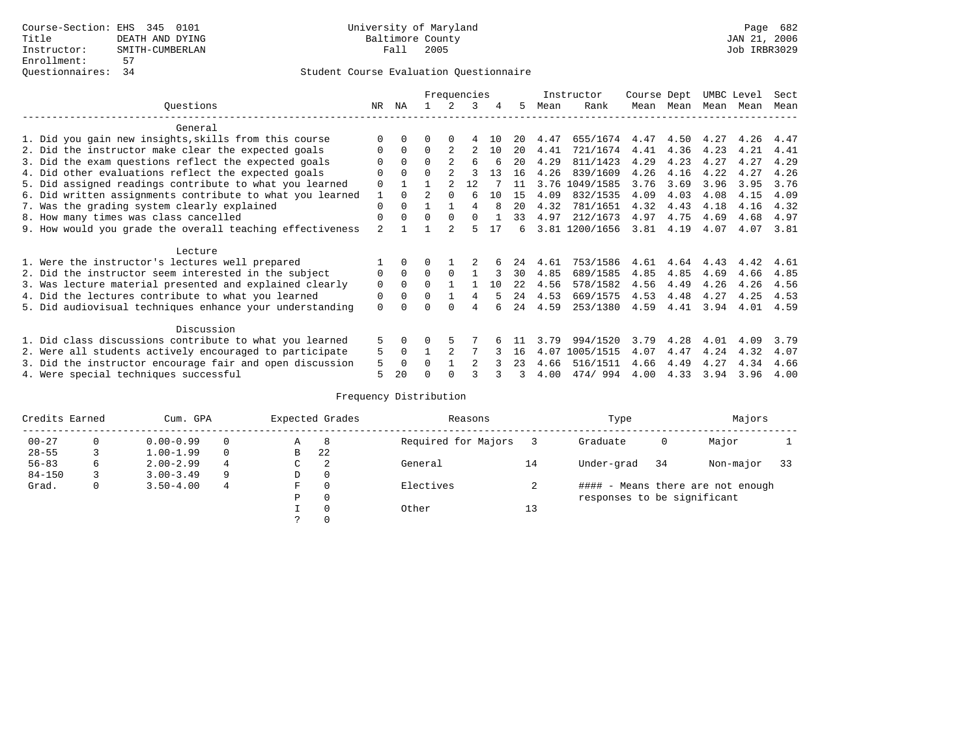### Questionnaires: 34 Student Course Evaluation Questionnaire

|                                                           |                |          |          |              | Frequencies |    |      |      | Instructor     | Course Dept |           | UMBC Level |      | Sect |
|-----------------------------------------------------------|----------------|----------|----------|--------------|-------------|----|------|------|----------------|-------------|-----------|------------|------|------|
| Ouestions                                                 | NR.            | ΝA       |          | 2            | 3           | 4  | 5.   | Mean | Rank           |             | Mean Mean | Mean Mean  |      | Mean |
| General                                                   |                |          |          |              |             |    |      |      |                |             |           |            |      |      |
| 1. Did you gain new insights, skills from this course     | $\Omega$       |          | 0        | $\Omega$     | 4           | 10 | 20   | 4.47 | 655/1674       | 4.47        | 4.50      | 4.27       | 4.26 | 4.47 |
| 2. Did the instructor make clear the expected goals       | O              | $\Omega$ | $\Omega$ |              |             | 10 | 20   | 4.41 | 721/1674       | 4.41        | 4.36      | 4.23       | 4.21 | 4.41 |
| 3. Did the exam questions reflect the expected goals      | O              | $\Omega$ |          |              | 6           |    | 20   | 4.29 | 811/1423       | 4.29        | 4.23      | 4.27       | 4.27 | 4.29 |
| 4. Did other evaluations reflect the expected goals       | $\Omega$       | $\Omega$ | $\Omega$ |              |             | 13 | 16   | 4.26 | 839/1609       | 4.26        | 4.16      | 4.22       | 4.27 | 4.26 |
| 5. Did assigned readings contribute to what you learned   | $\mathbf 0$    |          |          |              | 12          |    | 11   | 3.76 | 1049/1585      | 3.76        | 3.69      | 3.96       | 3.95 | 3.76 |
| 6. Did written assignments contribute to what you learned | 1              | $\Omega$ |          | $\Omega$     |             | 10 | 15   | 4.09 | 832/1535       | 4.09        | 4.03      | 4.08       | 4.15 | 4.09 |
| 7. Was the grading system clearly explained               | $\mathbf 0$    | $\Omega$ |          |              | 4           |    | 20   | 4.32 | 781/1651       | 4.32        | 4.43      | 4.18       | 4.16 | 4.32 |
| 8. How many times was class cancelled                     | $\Omega$       | $\Omega$ | $\Omega$ | $\Omega$     | $\Omega$    |    | 33   | 4.97 | 212/1673       | 4.97        | 4.75      | 4.69       | 4.68 | 4.97 |
| 9. How would you grade the overall teaching effectiveness | $\overline{a}$ |          |          |              |             |    | ี    |      | 3.81 1200/1656 | 3.81        | 4.19      | 4.07       | 4.07 | 3.81 |
| Lecture                                                   |                |          |          |              |             |    |      |      |                |             |           |            |      |      |
| 1. Were the instructor's lectures well prepared           |                |          |          |              |             |    | 24   | 4.61 | 753/1586       | 4.61        | 4.64      | 4.43       | 4.42 | 4.61 |
| 2. Did the instructor seem interested in the subject      | 0              | $\Omega$ | $\Omega$ | $\Omega$     |             |    | 30   | 4.85 | 689/1585       | 4.85        | 4.85      | 4.69       | 4.66 | 4.85 |
| 3. Was lecture material presented and explained clearly   | $\mathbf 0$    | $\Omega$ | $\Omega$ |              |             | 10 | 2.2. | 4.56 | 578/1582       | 4.56        | 4.49      | 4.26       | 4.26 | 4.56 |
| 4. Did the lectures contribute to what you learned        | $\Omega$       | $\Omega$ | $\Omega$ | $\mathbf{1}$ | 4           | 5  | 24   | 4.53 | 669/1575       | 4.53        | 4.48      | 4.27       | 4.25 | 4.53 |
| 5. Did audiovisual techniques enhance your understanding  | $\Omega$       |          |          | $\cap$       | 4           |    | 24   | 4.59 | 253/1380       | 4.59        | 4.41      | 3.94       | 4.01 | 4.59 |
| Discussion                                                |                |          |          |              |             |    |      |      |                |             |           |            |      |      |
| 1. Did class discussions contribute to what you learned   | 5              | 0        |          |              |             |    |      | 3.79 | 994/1520       | 3.79        | 4.28      | 4.01       | 4.09 | 3.79 |
| 2. Were all students actively encouraged to participate   | 5              | $\Omega$ |          |              |             |    | 16   | 4.07 | 1005/1515      | 4.07        | 4.47      | 4.24       | 4.32 | 4.07 |
| 3. Did the instructor encourage fair and open discussion  | 5              | $\Omega$ | $\Omega$ |              |             |    | 23   | 4.66 | 516/1511       | 4.66        | 4.49      | 4.27       | 4.34 | 4.66 |
| 4. Were special techniques successful                     |                | 20       |          |              |             |    | 3    | 4.00 | 474/994        | 4.00        | 4.33      | 3.94       | 3.96 | 4.00 |

| Credits Earned |   | Cum. GPA      |          |    | Expected Grades | Reasons             |    | Type                        |    | Majors                            |    |
|----------------|---|---------------|----------|----|-----------------|---------------------|----|-----------------------------|----|-----------------------------------|----|
| $00 - 27$      |   | $0.00 - 0.99$ |          | Α  | 8               | Required for Majors |    | Graduate                    | 0  | Major                             |    |
| $28 - 55$      |   | $1.00 - 1.99$ | $\Omega$ | В  | 22              |                     |    |                             |    |                                   |    |
| $56 - 83$      | 6 | $2.00 - 2.99$ | 4        | C. | 2               | General             | 14 | Under-grad                  | 34 | Non-major                         | 33 |
| $84 - 150$     |   | $3.00 - 3.49$ | 9        | D  | 0               |                     |    |                             |    |                                   |    |
| Grad.          | 0 | $3.50 - 4.00$ | 4        | F  | $\Omega$        | Electives           |    |                             |    | #### - Means there are not enough |    |
|                |   |               |          | Ρ  | 0               |                     |    | responses to be significant |    |                                   |    |
|                |   |               |          |    | $\Omega$        | Other               | 13 |                             |    |                                   |    |
|                |   |               |          |    |                 |                     |    |                             |    |                                   |    |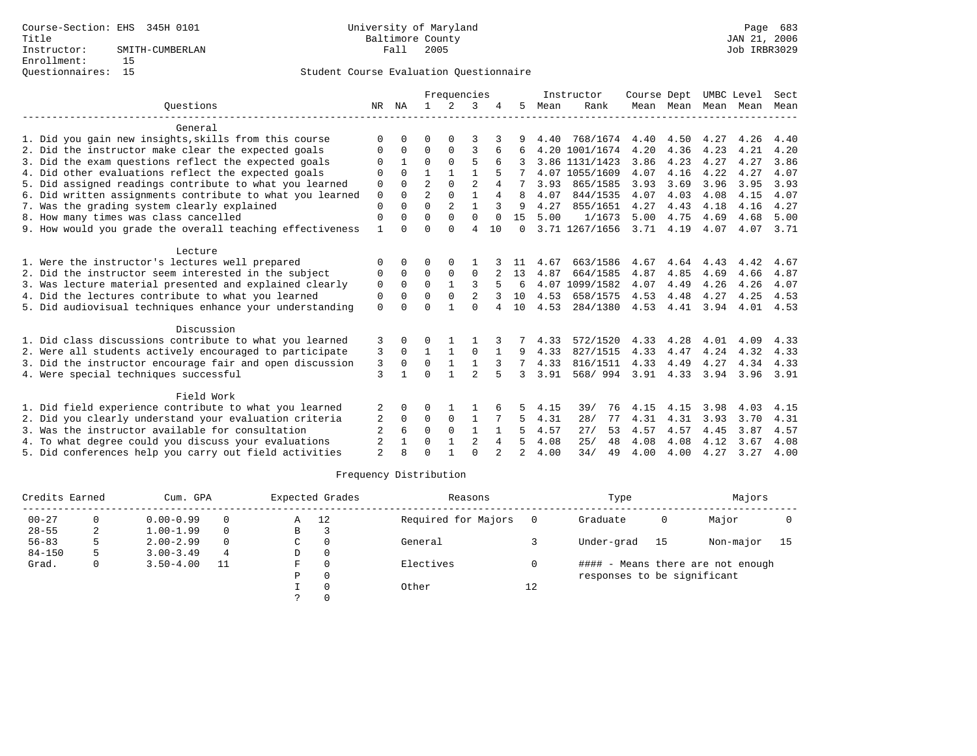|                                                           |                |              |                | Frequencies    |                |              |          |      | Instructor     | Course Dept |           | UMBC Level |      | Sect      |
|-----------------------------------------------------------|----------------|--------------|----------------|----------------|----------------|--------------|----------|------|----------------|-------------|-----------|------------|------|-----------|
| Ouestions                                                 | NR             | ΝA           | $\mathbf{1}$   | $\mathcal{L}$  | 3              |              | 5.       | Mean | Rank           |             | Mean Mean | Mean       | Mean | Mean      |
| General                                                   |                |              |                |                |                |              |          |      |                |             |           |            |      |           |
| 1. Did you gain new insights, skills from this course     | $\Omega$       | U            | O              | $\Omega$       |                |              |          | 4.40 | 768/1674       | 4.40        | 4.50      | 4.27       | 4.26 | 4.40      |
| 2. Did the instructor make clear the expected goals       | $\Omega$       | $\Omega$     | $\Omega$       | 0              | 3              |              |          |      | 4.20 1001/1674 | 4.20        | 4.36      | 4.23       | 4.21 | 4.20      |
| 3. Did the exam questions reflect the expected goals      | $\Omega$       |              | $\Omega$       | $\Omega$       | 5              | 6            |          |      | 3.86 1131/1423 | 3.86        | 4.23      | 4.27       | 4.27 | 3.86      |
| 4. Did other evaluations reflect the expected goals       | $\Omega$       | $\Omega$     | 1              | $\mathbf{1}$   |                |              |          |      | 4.07 1055/1609 | 4.07        | 4.16      | 4.22       | 4.27 | 4.07      |
| 5. Did assigned readings contribute to what you learned   | 0              | <sup>0</sup> | $\overline{2}$ | $\Omega$       | $\overline{2}$ |              |          | 3.93 | 865/1585       | 3.93        | 3.69      | 3.96       | 3.95 | 3.93      |
| 6. Did written assignments contribute to what you learned | $\mathbf 0$    | $\Omega$     | $\overline{2}$ | $\Omega$       | $\mathbf{1}$   | 4            | R        | 4.07 | 844/1535       | 4.07        | 4.03      | 4.08       | 4.15 | 4.07      |
| 7. Was the grading system clearly explained               | $\Omega$       |              | $\Omega$       | $\mathfrak{D}$ | $\mathbf{1}$   | 3            | 9        | 4.27 | 855/1651       | 4.27        | 4.43      | 4.18       | 4.16 | 4.27      |
| 8. How many times was class cancelled                     | 0              | <sup>0</sup> | $\Omega$       | $\Omega$       | $\Omega$       | $\Omega$     | 15       | 5.00 | 1/1673         | 5.00        | 4.75      | 4.69       | 4.68 | 5.00      |
| 9. How would you grade the overall teaching effectiveness | $\mathbf{1}$   | $\Omega$     | $\Omega$       | $\Omega$       | $\overline{4}$ | 10           | $\Omega$ |      | 3.71 1267/1656 | 3.71        | 4.19      | 4.07       | 4.07 | 3.71      |
| Lecture                                                   |                |              |                |                |                |              |          |      |                |             |           |            |      |           |
| 1. Were the instructor's lectures well prepared           | $\Omega$       | 0            | 0              | $\Omega$       |                |              |          | 4.67 | 663/1586       | 4.67        | 4.64      | 4.43       | 4.42 | 4.67      |
| 2. Did the instructor seem interested in the subject      | 0              | $\Omega$     | 0              | 0              | $\mathbf 0$    |              | 13       | 4.87 | 664/1585       | 4.87        | 4.85      | 4.69       | 4.66 | 4.87      |
| 3. Was lecture material presented and explained clearly   | 0              | $\Omega$     | $\Omega$       | $\mathbf{1}$   | 3              |              | 6        |      | 4.07 1099/1582 | 4.07        | 4.49      | 4.26       | 4.26 | 4.07      |
| 4. Did the lectures contribute to what you learned        | $\mathbf 0$    | $\Omega$     | $\Omega$       | $\Omega$       | 2              |              | 10       | 4.53 | 658/1575       | 4.53        | 4.48      | 4.27       | 4.25 | 4.53      |
| 5. Did audiovisual techniques enhance your understanding  | $\Omega$       |              | $\cap$         | 1              | $\cap$         |              | 10       | 4.53 | 284/1380       | 4.53        | 4.41      | 3.94       | 4.01 | 4.53      |
| Discussion                                                |                |              |                |                |                |              |          |      |                |             |           |            |      |           |
| 1. Did class discussions contribute to what you learned   | 3              | 0            | 0              |                |                |              |          | 4.33 | 572/1520       | 4.33        | 4.28      | 4.01       | 4.09 | 4.33      |
| 2. Were all students actively encouraged to participate   | 3              | $\Omega$     | $\mathbf{1}$   | $\mathbf{1}$   | $\Omega$       | $\mathbf{1}$ | 9        | 4.33 | 827/1515       | 4.33        | 4.47      | 4.24       | 4.32 | 4.33      |
| 3. Did the instructor encourage fair and open discussion  | 3              | $\Omega$     | $\mathbf 0$    | $\mathbf{1}$   | $\mathbf{1}$   |              |          | 4.33 | 816/1511       | 4.33        | 4.49      | 4.27       | 4.34 | 4.33      |
| 4. Were special techniques successful                     | 3              |              | $\Omega$       |                | $\mathfrak{D}$ |              | 3        | 3.91 | 568/994        | $3.91$ 4.33 |           | 3.94       |      | 3.96 3.91 |
| Field Work                                                |                |              |                |                |                |              |          |      |                |             |           |            |      |           |
| 1. Did field experience contribute to what you learned    | 2              | 0            | 0              |                |                |              |          | 4.15 | 39/<br>76      | 4.15        | 4.15      | 3.98       | 4.03 | 4.15      |
| 2. Did you clearly understand your evaluation criteria    | 2              | $\Omega$     | $\Omega$       | $\mathbf 0$    | $\mathbf{1}$   |              | 5        | 4.31 | 28/<br>77      | 4.31        | 4.31      | 3.93       | 3.70 | 4.31      |
| 3. Was the instructor available for consultation          | $\overline{2}$ | 6            | $\Omega$       | $\Omega$       | $\mathbf{1}$   |              |          | 4.57 | 27/<br>53      | 4.57        | 4.57      | 4.45       | 3.87 | 4.57      |
| 4. To what degree could you discuss your evaluations      | 2              |              | $\Omega$       | 1              | $\overline{2}$ | 4            |          | 4.08 | 25/<br>48      | 4.08        | 4.08      | 4.12       | 3.67 | 4.08      |
| 5. Did conferences help you carry out field activities    | $\overline{2}$ |              | $\Omega$       |                | $\Omega$       |              |          | 4.00 | 34/<br>49      | 4.00        | 4.00      | 4.27       | 3.27 | 4.00      |

| Credits Earned |   | Cum. GPA      |          |   | Expected Grades | Reasons             |    | Type                        |    | Majors                            |      |
|----------------|---|---------------|----------|---|-----------------|---------------------|----|-----------------------------|----|-----------------------------------|------|
| $00 - 27$      |   | $0.00 - 0.99$ | $\Omega$ | Α | -12             | Required for Majors |    | Graduate                    | 0  | Major                             |      |
| $28 - 55$      | 2 | $1.00 - 1.99$ | $\Omega$ | В |                 |                     |    |                             |    |                                   |      |
| $56 - 83$      |   | $2.00 - 2.99$ | $\Omega$ | C |                 | General             |    | Under-grad                  | 15 | Non-major                         | - 15 |
| $84 - 150$     |   | $3.00 - 3.49$ | 4        | D |                 |                     |    |                             |    |                                   |      |
| Grad.          | 0 | $3.50 - 4.00$ | 11       | F |                 | Electives           |    |                             |    | #### - Means there are not enough |      |
|                |   |               |          | P |                 |                     |    | responses to be significant |    |                                   |      |
|                |   |               |          |   |                 | Other               | 12 |                             |    |                                   |      |
|                |   |               |          |   |                 |                     |    |                             |    |                                   |      |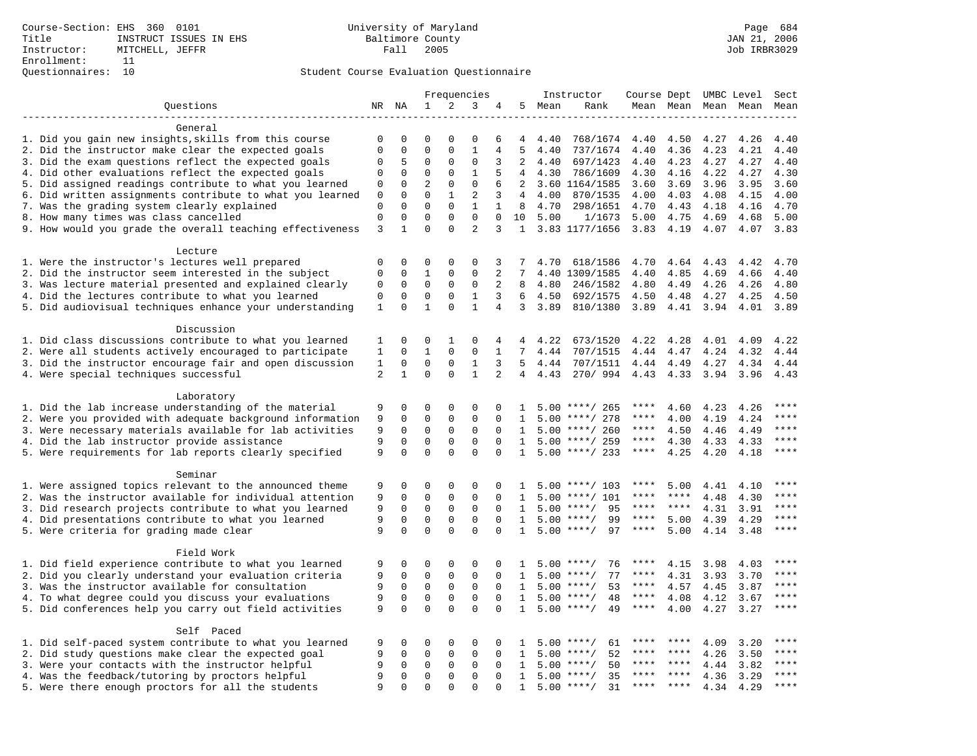|                                                           |                  |                      |                         |                         | Frequencies                |                          |                              |        | Instructor                          | Course Dept UMBC Level |                      |                     |              | Sect          |
|-----------------------------------------------------------|------------------|----------------------|-------------------------|-------------------------|----------------------------|--------------------------|------------------------------|--------|-------------------------------------|------------------------|----------------------|---------------------|--------------|---------------|
| Questions                                                 |                  | NR NA                | $\mathbf{1}$            | 2                       | 3                          | 4                        |                              | 5 Mean | Rank                                |                        |                      | Mean Mean Mean Mean |              | Mean          |
|                                                           |                  |                      |                         |                         |                            |                          |                              |        |                                     |                        |                      |                     |              |               |
| General                                                   |                  |                      |                         |                         |                            |                          |                              |        |                                     |                        |                      |                     |              |               |
| 1. Did you gain new insights, skills from this course     | 0                | $\Omega$             | $\Omega$                | $\Omega$                | $\Omega$                   | 6                        | 4                            | 4.40   | 768/1674                            | 4.40                   | 4.50                 | 4.27                | 4.26         | 4.40          |
| 2. Did the instructor make clear the expected goals       | $\Omega$         | $\Omega$             | $\Omega$                | $\Omega$                | $\mathbf{1}$               | 4                        | 5                            | 4.40   | 737/1674                            | 4.40                   | 4.36                 | 4.23                | 4.21         | 4.40          |
| 3. Did the exam questions reflect the expected goals      | 0                | 5                    | $\Omega$                | $\Omega$                | $\Omega$                   | 3                        | 2                            | 4.40   | 697/1423                            | 4.40                   | 4.23                 | 4.27                | 4.27         | 4.40          |
| 4. Did other evaluations reflect the expected goals       | 0                | $\mathbf 0$          | $\Omega$                | $\mathbf{0}$            | $\mathbf{1}$               | 5                        | 4                            | 4.30   | 786/1609                            | 4.30                   | 4.16                 | 4.22                | 4.27         | 4.30          |
| 5. Did assigned readings contribute to what you learned   | 0                | 0                    | $\overline{2}$          | $\mathbf 0$             | $\mathbf 0$                | 6                        | 2                            |        | 3.60 1164/1585                      | 3.60                   | 3.69                 | 3.96                | 3.95         | 3.60          |
| 6. Did written assignments contribute to what you learned | $\mathbf 0$      | $\mathbf 0$          | $\mathbf 0$             | $\mathbf{1}$            | 2                          | 3                        | $\overline{4}$               | 4.00   | 870/1535                            | 4.00                   | 4.03                 | 4.08                | 4.15         | 4.00          |
| 7. Was the grading system clearly explained               | 0<br>$\mathbf 0$ | $\Omega$<br>$\Omega$ | $\Omega$<br>$\Omega$    | $\Omega$<br>$\Omega$    | $\mathbf{1}$<br>$\Omega$   | $\mathbf{1}$<br>$\Omega$ | 8                            | 4.70   | 298/1651                            | 4.70                   | 4.43                 | 4.18                | 4.16         | 4.70          |
| 8. How many times was class cancelled                     | 3                | $\mathbf{1}$         | $\Omega$                | $\Omega$                | $\overline{2}$             | 3                        | 10<br>$\mathbf{1}$           | 5.00   | 1/1673<br>3.83 1177/1656            | 5.00<br>3.83           | 4.75<br>4.19         | 4.69<br>4.07        | 4.68<br>4.07 | 5.00<br>3.83  |
| 9. How would you grade the overall teaching effectiveness |                  |                      |                         |                         |                            |                          |                              |        |                                     |                        |                      |                     |              |               |
| Lecture                                                   |                  |                      |                         |                         |                            |                          |                              |        |                                     |                        |                      |                     |              |               |
| 1. Were the instructor's lectures well prepared           | 0                | $\mathbf 0$          | $\Omega$                | $\Omega$                | $\Omega$                   | 3                        |                              | 4.70   | 618/1586                            | 4.70                   | 4.64                 | 4.43                | 4.42         | 4.70          |
| 2. Did the instructor seem interested in the subject      | $\mathbf 0$      | $\mathbf 0$          | $\mathbf{1}$            | $\mathbf{0}$            | $\mathbf 0$                | 2                        | 7                            |        | 4.40 1309/1585                      | 4.40                   | 4.85                 | 4.69                | 4.66         | 4.40          |
| 3. Was lecture material presented and explained clearly   | $\mathsf 0$      | $\mathbf 0$          | $\mathsf 0$             | $\mathsf 0$             | $\mathbf 0$                | 2                        | 8                            | 4.80   | 246/1582                            | 4.80                   | 4.49                 | 4.26                | 4.26         | 4.80          |
| 4. Did the lectures contribute to what you learned        | $\mathbf 0$      | $\mathbf 0$          | $\mathbf 0$             | $\mathbf{0}$            | $\mathbf{1}$               | 3                        | 6                            | 4.50   | 692/1575                            | 4.50                   | 4.48                 | 4.27                | 4.25         | 4.50          |
| 5. Did audiovisual techniques enhance your understanding  | 1                | $\Omega$             | $\mathbf{1}$            | $\Omega$                | $\mathbf{1}$               | 4                        | 3                            | 3.89   | 810/1380                            | 3.89                   | 4.41                 | 3.94                | 4.01         | 3.89          |
|                                                           |                  |                      |                         |                         |                            |                          |                              |        |                                     |                        |                      |                     |              |               |
| Discussion                                                |                  |                      |                         |                         |                            |                          |                              |        |                                     |                        |                      |                     |              |               |
| 1. Did class discussions contribute to what you learned   | 1                | $\Omega$             | $\Omega$                | $\mathbf{1}$            | $\Omega$                   | 4                        | $\overline{4}$               | 4.22   | 673/1520                            | 4.22                   | 4.28                 | 4.01                | 4.09         | 4.22          |
| 2. Were all students actively encouraged to participate   | $\mathbf 1$      | $\mathbf 0$          | $\mathbf{1}$            | $\mathbf 0$             | $\mathbf 0$                | $\mathbf{1}$             | $7\overline{ }$              | 4.44   | 707/1515                            | 4.44                   | 4.47                 | 4.24                | 4.32         | 4.44          |
| 3. Did the instructor encourage fair and open discussion  | $\mathbf{1}$     | $\mathsf 0$          | $\mathsf 0$             | $\mathbf{0}$            | $\mathbf{1}$               | 3                        | 5                            | 4.44   | 707/1511                            | 4.44                   | 4.49                 | 4.27                | 4.34         | 4.44          |
| 4. Were special techniques successful                     | 2                | $\mathbf{1}$         | $\Omega$                | $\Omega$                | $\mathbf{1}$               | $\overline{2}$           | $4\overline{ }$              | 4.43   | 270/994                             | 4.43                   | 4.33                 | 3.94                | 3.96         | 4.43          |
|                                                           |                  |                      |                         |                         |                            |                          |                              |        |                                     |                        |                      |                     |              |               |
| Laboratory                                                |                  |                      |                         |                         |                            |                          |                              |        |                                     |                        |                      |                     |              |               |
| 1. Did the lab increase understanding of the material     | 9                | 0                    | 0                       | $\Omega$                | $\Omega$                   | $\Omega$                 | $\mathbf{1}$                 |        | $5.00$ ****/ 265                    | ****                   | 4.60                 | 4.23                | 4.26         | ****          |
| 2. Were you provided with adequate background information | 9                | $\mathbf 0$          | $\mathbf 0$             | $\mathbf{0}$            | $\mathbf 0$                | $\Omega$                 | 1                            |        | $5.00$ ****/ 278                    | ****                   | 4.00                 | 4.19                | 4.24         | ****          |
| 3. Were necessary materials available for lab activities  | 9                | 0                    | 0                       | 0                       | 0                          | $\Omega$                 | $\mathbf{1}$                 |        | $5.00$ ****/ 260                    | ****                   | 4.50                 | 4.46                | 4.49         | $***$         |
| 4. Did the lab instructor provide assistance              | 9                | $\mathbf 0$          | $\mathbf 0$<br>$\Omega$ | $\mathbf{0}$            | $\mathbf 0$                | $\Omega$                 | $\mathbf{1}$                 |        | $5.00$ ****/ 259                    | $***$ * * *            | 4.30                 | 4.33                | 4.33         | ****<br>$***$ |
| 5. Were requirements for lab reports clearly specified    | 9                | $\Omega$             |                         | $\Omega$                | $\Omega$                   | $\Omega$                 | $\mathbf{1}$                 |        | $5.00$ ****/ 233                    | $***$ * * *            | 4.25                 | 4.20                | 4.18         |               |
| Seminar                                                   |                  |                      |                         |                         |                            |                          |                              |        |                                     |                        |                      |                     |              |               |
| 1. Were assigned topics relevant to the announced theme   | 9                | $\mathbf 0$          | $\mathbf 0$             | $\mathbf 0$             | $\Omega$                   | 0                        | 1                            |        | $5.00$ ****/ 103                    | ****                   | 5.00                 | 4.41                | 4.10         | ****          |
| 2. Was the instructor available for individual attention  | 9                | 0                    | $\mathbf 0$             | $\mathbf 0$             | $\mathbf 0$                | $\Omega$                 | $\mathbf{1}$                 | 5.00   | $***/$ 101                          | ****                   | ****                 | 4.48                | 4.30         | ****          |
| 3. Did research projects contribute to what you learned   | 9                | $\mathbf 0$          | $\mathbf 0$             | $\mathbf{0}$            | $\mathbf 0$                | $\Omega$                 | $\mathbf{1}$                 |        | $5.00$ ****/<br>95                  | ****                   | $***$ * * *          | 4.31                | 3.91         | ****          |
| 4. Did presentations contribute to what you learned       | 9                | $\Omega$             | $\mathbf 0$             | $\Omega$                | $\Omega$                   | $\Omega$                 | 1                            | 5.00   | $***$ /<br>99                       | ****                   | 5.00                 | 4.39                | 4.29         | $***$ * * *   |
| 5. Were criteria for grading made clear                   | 9                | $\Omega$             | $\Omega$                | $\Omega$                | $\Omega$                   | $\Omega$                 | $\mathbf{1}$                 |        | $5.00$ ****/<br>97                  | $***$ * * *            | 5.00                 | 4.14                | 3.48         | ****          |
|                                                           |                  |                      |                         |                         |                            |                          |                              |        |                                     |                        |                      |                     |              |               |
| Field Work                                                |                  |                      |                         |                         |                            |                          |                              |        |                                     |                        |                      |                     |              |               |
| 1. Did field experience contribute to what you learned    | 9                | 0                    | 0                       | 0                       | $\mathbf 0$                | $\Omega$                 | $\mathbf{1}$                 |        | $5.00$ ****/<br>76                  | ****                   | 4.15                 | 3.98                | 4.03         | * * * *       |
| 2. Did you clearly understand your evaluation criteria    | 9                | $\mathbf 0$          | $\mathbf 0$             | $\mathbf 0$             | $\mathbf 0$                | $\Omega$                 | $\mathbf{1}$                 | 5.00   | 77<br>$***$ /                       | ****                   | 4.31                 | 3.93                | 3.70         | ****          |
| 3. Was the instructor available for consultation          | 9                | $\mathbf 0$          | $\mathbf 0$             | $\mathbf{0}$            | $\mathbf 0$                | $\Omega$                 | $\mathbf{1}$                 |        | $5.00$ ****/<br>53                  | ****                   | 4.57                 | 4.45                | 3.87         | $***$         |
| 4. To what degree could you discuss your evaluations      | 9                | $\mathbf 0$          | $\mathbf 0$             | $\mathbf 0$             | $\mathbf 0$                | $\mathbf 0$              | $\mathbf{1}$                 |        | $5.00$ ****/<br>48                  | $***$ * * *            | 4.08                 | 4.12                | 3.67         | $***$         |
| 5. Did conferences help you carry out field activities    | 9                | $\Omega$             | $\Omega$                | $\Omega$                | $\Omega$                   | $\Omega$                 | $\mathbf{1}$                 | 5.00   | $***/$<br>49                        | $***$ * * *            | 4.00                 | 4.27                | 3.27         | $***$         |
|                                                           |                  |                      |                         |                         |                            |                          |                              |        |                                     |                        |                      |                     |              |               |
| Self Paced                                                |                  |                      |                         |                         |                            |                          |                              |        |                                     |                        |                      |                     |              |               |
| 1. Did self-paced system contribute to what you learned   | 9                | 0                    | 0                       | $\mathbf 0$             | 0                          | $\Omega$                 | 1.                           |        | $5.00$ ****/<br>61                  | ****                   | ****                 | 4.09                | 3.20         | ****          |
| 2. Did study questions make clear the expected goal       | 9                | $\Omega$             | $\mathbf 0$             | $\mathbf 0$             | $\mathbf 0$                | $\Omega$                 | $\mathbf{1}$                 | 5.00   | $***$ /<br>52                       | ****<br>****           | $***$ *<br>$* * * *$ | 4.26                | 3.50         | ****<br>****  |
| 3. Were your contacts with the instructor helpful         | 9                | $\mathsf 0$          | $\mathbf 0$             | $\mathbf 0$             | $\mathbf 0$<br>$\mathbf 0$ | $\mathbf 0$              | 1                            | 5.00   | 50<br>$***/$                        | ****                   | ****                 | 4.44                | 3.82         | ****          |
| 4. Was the feedback/tutoring by proctors helpful          | 9<br>9           | 0<br>$\Omega$        | $\mathsf 0$<br>$\Omega$ | $\mathbf 0$<br>$\Omega$ | $\Omega$                   | $\Omega$<br>$\Omega$     | $\mathbf{1}$<br>$\mathbf{1}$ | 5.00   | $***$ /<br>35<br>$5.00$ ****/<br>31 | ****                   | $***$ *              | 4.36<br>4.34        | 3.29<br>4.29 | ****          |
| 5. Were there enough proctors for all the students        |                  |                      |                         |                         |                            |                          |                              |        |                                     |                        |                      |                     |              |               |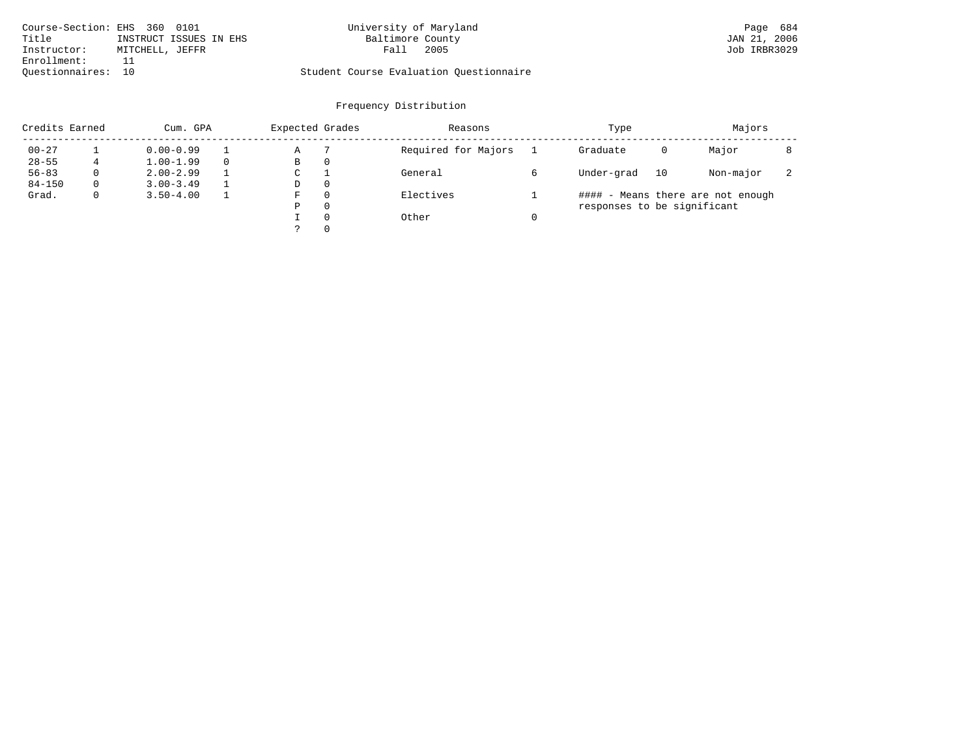| Course-Section: EHS 360 0101 |                        | University of Maryland                  | Page 684     |
|------------------------------|------------------------|-----------------------------------------|--------------|
| Title                        | INSTRUCT ISSUES IN EHS | Baltimore County                        | JAN 21, 2006 |
| Instructor:                  | MITCHELL, JEFFR        | 2005<br>Fall                            | Job IRBR3029 |
| Enrollment:                  |                        |                                         |              |
| Ouestionnaires: 10           |                        | Student Course Evaluation Ouestionnaire |              |

|            | Credits Earned<br>Cum. GPA |               |  | Expected Grades |          | Reasons             | Type                        | Majors |                                   |                          |
|------------|----------------------------|---------------|--|-----------------|----------|---------------------|-----------------------------|--------|-----------------------------------|--------------------------|
| $00 - 27$  |                            | $0.00 - 0.99$ |  | Α               |          | Required for Majors | Graduate                    | 0      | Major                             |                          |
| $28 - 55$  |                            | $1.00 - 1.99$ |  | В               | 0        |                     |                             |        |                                   |                          |
| $56 - 83$  | $\Omega$                   | $2.00 - 2.99$ |  | C               |          | General             | Under-grad                  | 10     | Non-major                         | $\overline{\phantom{a}}$ |
| $84 - 150$ | $\Omega$                   | $3.00 - 3.49$ |  | D               | $\Omega$ |                     |                             |        |                                   |                          |
| Grad.      | 0                          | $3.50 - 4.00$ |  | F               | $\Omega$ | Electives           |                             |        | #### - Means there are not enough |                          |
|            |                            |               |  | Ρ               | $\Omega$ |                     | responses to be significant |        |                                   |                          |
|            |                            |               |  |                 | $\Omega$ | Other               |                             |        |                                   |                          |
|            |                            |               |  |                 | $\Omega$ |                     |                             |        |                                   |                          |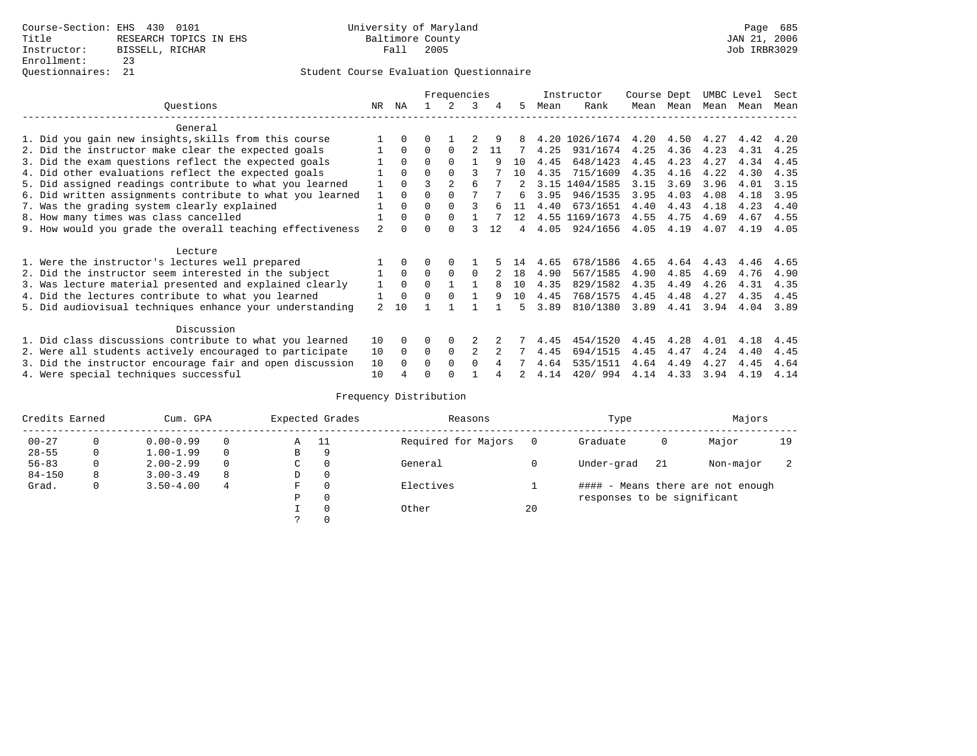### Questionnaires: 21 Student Course Evaluation Questionnaire

|                                                           |                |          | Frequencies |                | Instructor   |    | Course Dept |      | UMBC Level     |      | Sect      |      |      |      |
|-----------------------------------------------------------|----------------|----------|-------------|----------------|--------------|----|-------------|------|----------------|------|-----------|------|------|------|
| Ouestions                                                 | NR             | ΝA       |             |                | 3            | 4  | 5.          | Mean | Rank           |      | Mean Mean | Mean | Mean | Mean |
| General                                                   |                |          |             |                |              |    |             |      |                |      |           |      |      |      |
| 1. Did you gain new insights, skills from this course     |                | $\Omega$ | U           |                |              |    |             |      | 4.20 1026/1674 | 4.20 | 4.50      | 4.27 | 4.42 | 4.20 |
| 2. Did the instructor make clear the expected goals       |                | $\Omega$ | $\Omega$    | $\Omega$       |              | 11 |             | 4.25 | 931/1674       | 4.25 | 4.36      | 4.23 | 4.31 | 4.25 |
| 3. Did the exam questions reflect the expected goals      |                | $\Omega$ | $\Omega$    | $\Omega$       |              | 9  | 10          | 4.45 | 648/1423       | 4.45 | 4.23      | 4.27 | 4.34 | 4.45 |
| 4. Did other evaluations reflect the expected goals       |                | $\Omega$ | 0           | $\Omega$       |              |    | 10          | 4.35 | 715/1609       | 4.35 | 4.16      | 4.22 | 4.30 | 4.35 |
| 5. Did assigned readings contribute to what you learned   |                | $\Omega$ |             | $\mathfrak{D}$ | 6            |    |             |      | 3.15 1404/1585 | 3.15 | 3.69      | 3.96 | 4.01 | 3.15 |
| 6. Did written assignments contribute to what you learned | $\mathbf{1}$   | $\Omega$ |             |                |              |    | б.          | 3.95 | 946/1535       | 3.95 | 4.03      | 4.08 | 4.18 | 3.95 |
| 7. Was the grading system clearly explained               |                | $\Omega$ | U           | $\Omega$       |              |    | 11          | 4.40 | 673/1651       | 4.40 | 4.43      | 4.18 | 4.23 | 4.40 |
| 8. How many times was class cancelled                     |                | $\Omega$ | $\Omega$    | $\Omega$       |              |    | 12          |      | 4.55 1169/1673 | 4.55 | 4.75      | 4.69 | 4.67 | 4.55 |
| 9. How would you grade the overall teaching effectiveness | 2              | $\cap$   |             | $\cap$         |              | 12 | 4           | 4.05 | 924/1656       | 4.05 | 4.19      | 4.07 | 4.19 | 4.05 |
| Lecture                                                   |                |          |             |                |              |    |             |      |                |      |           |      |      |      |
| 1. Were the instructor's lectures well prepared           |                |          |             | $\Omega$       |              |    | 14          | 4.65 | 678/1586       | 4.65 | 4.64      | 4.43 | 4.46 | 4.65 |
| 2. Did the instructor seem interested in the subject      |                | $\Omega$ | $\Omega$    | $\Omega$       | $\Omega$     |    | 18          | 4.90 | 567/1585       | 4.90 | 4.85      | 4.69 | 4.76 | 4.90 |
| 3. Was lecture material presented and explained clearly   |                | $\Omega$ | $\Omega$    |                |              | 8  | 10          | 4.35 | 829/1582       | 4.35 | 4.49      | 4.26 | 4.31 | 4.35 |
| 4. Did the lectures contribute to what you learned        |                | $\Omega$ | U           | $\Omega$       |              | 9  | 10          | 4.45 | 768/1575       | 4.45 | 4.48      | 4.27 | 4.35 | 4.45 |
| 5. Did audiovisual techniques enhance your understanding  | $\overline{2}$ | 1 O      |             |                |              |    | ц           | 3.89 | 810/1380       | 3.89 | 4.41      | 3.94 | 4.04 | 3.89 |
| Discussion                                                |                |          |             |                |              |    |             |      |                |      |           |      |      |      |
| 1. Did class discussions contribute to what you learned   | 10             | $\Omega$ | U           | $\Omega$       |              |    |             | 4.45 | 454/1520       | 4.45 | 4.28      | 4.01 | 4.18 | 4.45 |
| 2. Were all students actively encouraged to participate   | 10             | $\Omega$ | 0           | $\mathbf 0$    | 2            |    |             | 4.45 | 694/1515       | 4.45 | 4.47      | 4.24 | 4.40 | 4.45 |
| 3. Did the instructor encourage fair and open discussion  | 10             |          | U           | $\Omega$       | <sup>0</sup> |    |             | 4.64 | 535/1511       | 4.64 | 4.49      | 4.27 | 4.45 | 4.64 |
| 4. Were special techniques successful                     | 10             |          |             |                |              |    |             | 4.14 | 420/994        | 4.14 | 4.33      | 3.94 | 4.19 | 4.14 |

| Credits Earned |   | Cum. GPA      |   |               | Expected Grades | Reasons             |    | Type                        | Majors |                                   |                          |
|----------------|---|---------------|---|---------------|-----------------|---------------------|----|-----------------------------|--------|-----------------------------------|--------------------------|
| $00 - 27$      | 0 | $0.00 - 0.99$ |   | A             | - 11            | Required for Majors |    | Graduate                    | 0      | Major                             | 19                       |
| $28 - 55$      | 0 | $1.00 - 1.99$ |   | В             | 9               |                     |    |                             |        |                                   |                          |
| $56 - 83$      | 0 | $2.00 - 2.99$ | 0 | $\sim$<br>◡   | 0               | General             |    | Under-grad                  | 21     | Non-major                         | $\overline{\phantom{a}}$ |
| $84 - 150$     | 8 | $3.00 - 3.49$ | 8 | D             | 0               |                     |    |                             |        |                                   |                          |
| Grad.          | 0 | $3.50 - 4.00$ | 4 | F             | 0               | Electives           |    |                             |        | #### - Means there are not enough |                          |
|                |   |               |   | Ρ             | 0               |                     |    | responses to be significant |        |                                   |                          |
|                |   |               |   |               | 0               | Other               | 20 |                             |        |                                   |                          |
|                |   |               |   | $\mathcal{L}$ |                 |                     |    |                             |        |                                   |                          |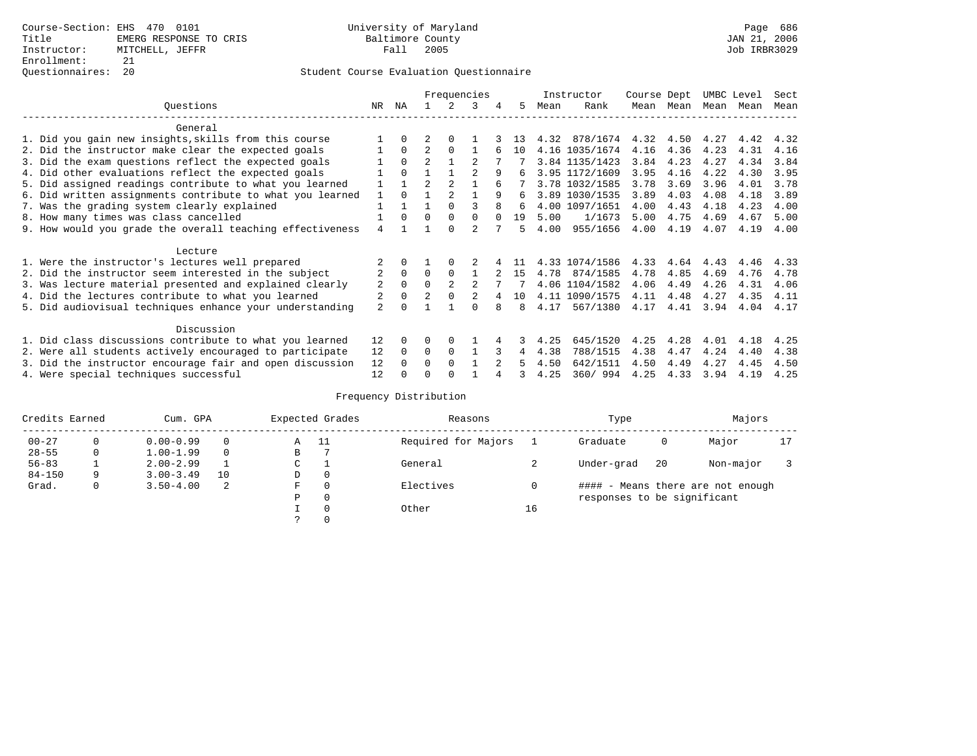### Questionnaires: 20 Student Course Evaluation Questionnaire

|                                                           |                |          | Frequencies    |                | Instructor |        | Course Dept |      | UMBC Level     |      | Sect      |      |      |      |
|-----------------------------------------------------------|----------------|----------|----------------|----------------|------------|--------|-------------|------|----------------|------|-----------|------|------|------|
| Ouestions                                                 | NR.            | ΝA       |                |                | 3          | 4      | 5.          | Mean | Rank           |      | Mean Mean | Mean | Mean | Mean |
| General                                                   |                |          |                |                |            |        |             |      |                |      |           |      |      |      |
| 1. Did you gain new insights, skills from this course     |                | $\Omega$ |                | $\Omega$       |            |        | 13          | 4.32 | 878/1674       | 4.32 | 4.50      | 4.27 | 4.42 | 4.32 |
| 2. Did the instructor make clear the expected goals       |                | $\Omega$ | $\mathfrak{D}$ | $\Omega$       |            |        | 10          |      | 4.16 1035/1674 | 4.16 | 4.36      | 4.23 | 4.31 | 4.16 |
| 3. Did the exam questions reflect the expected goals      |                | $\Omega$ | $\mathfrak{D}$ |                |            |        |             |      | 3.84 1135/1423 | 3.84 | 4.23      | 4.27 | 4.34 | 3.84 |
| 4. Did other evaluations reflect the expected goals       |                | $\Omega$ |                |                |            | 9      | 6           |      | 3.95 1172/1609 | 3.95 | 4.16      | 4.22 | 4.30 | 3.95 |
| 5. Did assigned readings contribute to what you learned   |                |          | $\mathfrak{D}$ | $\mathfrak{D}$ |            |        |             |      | 3.78 1032/1585 | 3.78 | 3.69      | 3.96 | 4.01 | 3.78 |
| 6. Did written assignments contribute to what you learned | $\mathbf{1}$   | $\cap$   |                |                |            | 9      | б.          |      | 3.89 1030/1535 | 3.89 | 4.03      | 4.08 | 4.18 | 3.89 |
| 7. Was the grading system clearly explained               |                |          |                | $\Omega$       |            |        | 6           |      | 4.00 1097/1651 | 4.00 | 4.43      | 4.18 | 4.23 | 4.00 |
| 8. How many times was class cancelled                     |                | $\Omega$ | $\Omega$       | $\Omega$       | $\Omega$   | $\cap$ | 19          | 5.00 | 1/1673         | 5.00 | 4.75      | 4.69 | 4.67 | 5.00 |
| 9. How would you grade the overall teaching effectiveness | 4              |          |                | $\cap$         |            |        | 5           | 4.00 | 955/1656       | 4.00 | 4.19      | 4.07 | 4.19 | 4.00 |
| Lecture                                                   |                |          |                |                |            |        |             |      |                |      |           |      |      |      |
| 1. Were the instructor's lectures well prepared           |                |          |                |                |            |        |             |      | 4.33 1074/1586 | 4.33 | 4.64      | 4.43 | 4.46 | 4.33 |
| 2. Did the instructor seem interested in the subject      | 2              | $\Omega$ | $\Omega$       | $\Omega$       |            |        | 15          | 4.78 | 874/1585       | 4.78 | 4.85      | 4.69 | 4.76 | 4.78 |
| 3. Was lecture material presented and explained clearly   | 2              | $\Omega$ | $\Omega$       |                |            |        |             |      | 4.06 1104/1582 | 4.06 | 4.49      | 4.26 | 4.31 | 4.06 |
| 4. Did the lectures contribute to what you learned        |                | $\Omega$ | $\mathfrak{D}$ |                |            |        | 10          |      | 4.11 1090/1575 | 4.11 | 4.48      | 4.27 | 4.35 | 4.11 |
| 5. Did audiovisual techniques enhance your understanding  | $\overline{a}$ |          |                |                |            |        | 8           | 4.17 | 567/1380       | 4.17 | 4.41      | 3.94 | 4.04 | 4.17 |
| Discussion                                                |                |          |                |                |            |        |             |      |                |      |           |      |      |      |
| 1. Did class discussions contribute to what you learned   | 12             | 0        | 0              | $\Omega$       |            |        |             | 4.25 | 645/1520       | 4.25 | 4.28      | 4.01 | 4.18 | 4.25 |
| 2. Were all students actively encouraged to participate   | 12             | $\Omega$ | $\Omega$       | $\Omega$       |            |        | 4           | 4.38 | 788/1515       | 4.38 | 4.47      | 4.24 | 4.40 | 4.38 |
| 3. Did the instructor encourage fair and open discussion  | 12             |          | O              | $\Omega$       |            |        |             | 4.50 | 642/1511       | 4.50 | 4.49      | 4.27 | 4.45 | 4.50 |
| 4. Were special techniques successful                     | 12             |          |                |                |            |        |             | 4.25 | 360/994        | 4.25 | 4.33      | 3.94 | 4.19 | 4.25 |

| Credits Earned |   | Cum. GPA      |    |               | Expected Grades | Reasons             |    | Type                        | Majors |                                   |    |
|----------------|---|---------------|----|---------------|-----------------|---------------------|----|-----------------------------|--------|-----------------------------------|----|
| $00 - 27$      | 0 | $0.00 - 0.99$ |    | A             | - 11            | Required for Majors |    | Graduate                    | 0      | Major                             | 17 |
| $28 - 55$      | 0 | $1.00 - 1.99$ |    | В             |                 |                     |    |                             |        |                                   |    |
| $56 - 83$      |   | $2.00 - 2.99$ |    | $\sim$<br>◡   |                 | General             |    | Under-grad                  | 20     | Non-major                         |    |
| $84 - 150$     | 9 | $3.00 - 3.49$ | 10 | D             | 0               |                     |    |                             |        |                                   |    |
| Grad.          | 0 | $3.50 - 4.00$ | -2 | F             | 0               | Electives           |    |                             |        | #### - Means there are not enough |    |
|                |   |               |    | Ρ             | 0               |                     |    | responses to be significant |        |                                   |    |
|                |   |               |    |               | 0               | Other               | 16 |                             |        |                                   |    |
|                |   |               |    | $\mathcal{L}$ |                 |                     |    |                             |        |                                   |    |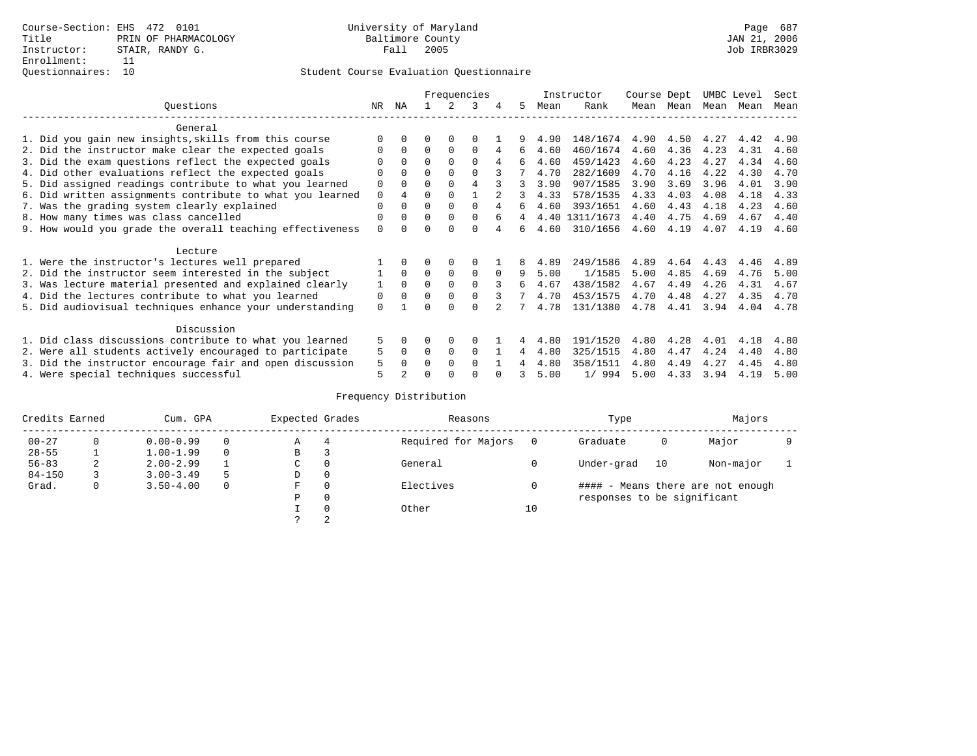|                                                           |             |                |          |          | Frequencies |          |    |      | Instructor     | Course Dept |           | UMBC Level |      | Sect |
|-----------------------------------------------------------|-------------|----------------|----------|----------|-------------|----------|----|------|----------------|-------------|-----------|------------|------|------|
| Ouestions                                                 | NR.         | ΝA             |          |          | 3           | 4        | 5. | Mean | Rank           |             | Mean Mean | Mean       | Mean | Mean |
| General                                                   |             |                |          |          |             |          |    |      |                |             |           |            |      |      |
| 1. Did you gain new insights, skills from this course     |             | $\Omega$       | 0        | $\Omega$ | 0           |          |    | 4.90 | 148/1674       | 4.90        | 4.50      | 4.27       | 4.42 | 4.90 |
| 2. Did the instructor make clear the expected goals       | O           | $\Omega$       | $\Omega$ | $\Omega$ | $\Omega$    | 4        | 6  | 4.60 | 460/1674       | 4.60        | 4.36      | 4.23       | 4.31 | 4.60 |
| 3. Did the exam questions reflect the expected goals      |             | $\Omega$       | $\Omega$ | $\Omega$ | $\Omega$    | 4        | б. | 4.60 | 459/1423       | 4.60        | 4.23      | 4.27       | 4.34 | 4.60 |
| 4. Did other evaluations reflect the expected goals       | O           | $\Omega$       | $\Omega$ | $\Omega$ | $\Omega$    |          |    | 4.70 | 282/1609       | 4.70        | 4.16      | 4.22       | 4.30 | 4.70 |
| 5. Did assigned readings contribute to what you learned   | $\mathbf 0$ | $\Omega$       | $\Omega$ | $\Omega$ | 4           |          | 3  | 3.90 | 907/1585       | 3.90        | 3.69      | 3.96       | 4.01 | 3.90 |
| 6. Did written assignments contribute to what you learned | $\mathbf 0$ | $\overline{4}$ | $\Omega$ | $\Omega$ |             |          | 3  | 4.33 | 578/1535       | 4.33        | 4.03      | 4.08       | 4.18 | 4.33 |
| 7. Was the grading system clearly explained               | $\Omega$    | $\Omega$       | 0        | $\Omega$ | $\Omega$    |          | 6  | 4.60 | 393/1651       | 4.60        | 4.43      | 4.18       | 4.23 | 4.60 |
| 8. How many times was class cancelled                     | 0           | $\Omega$       | $\Omega$ | $\Omega$ | $\Omega$    | 6        | 4  |      | 4.40 1311/1673 | 4.40        | 4.75      | 4.69       | 4.67 | 4.40 |
| 9. How would you grade the overall teaching effectiveness | $\Omega$    | <sup>n</sup>   | ∩        |          | U           |          | б. | 4.60 | 310/1656       | 4.60        | 4.19      | 4.07       | 4.19 | 4.60 |
| Lecture                                                   |             |                |          |          |             |          |    |      |                |             |           |            |      |      |
| 1. Were the instructor's lectures well prepared           |             |                |          | $\Omega$ | $\Omega$    |          |    | 4.89 | 249/1586       | 4.89        | 4.64      | 4.43       | 4.46 | 4.89 |
| 2. Did the instructor seem interested in the subject      |             | $\Omega$       | $\Omega$ | $\Omega$ | $\Omega$    | $\Omega$ | 9  | 5.00 | 1/1585         | 5.00        | 4.85      | 4.69       | 4.76 | 5.00 |
| 3. Was lecture material presented and explained clearly   | 1           | $\Omega$       | $\Omega$ | $\Omega$ | $\Omega$    |          | 6  | 4.67 | 438/1582       | 4.67        | 4.49      | 4.26       | 4.31 | 4.67 |
| 4. Did the lectures contribute to what you learned        | 0           | $\Omega$       | $\Omega$ | $\Omega$ | $\Omega$    |          |    | 4.70 | 453/1575       | 4.70        | 4.48      | 4.27       | 4.35 | 4.70 |
| 5. Did audiovisual techniques enhance your understanding  | $\Omega$    |                |          | ∩        | $\cap$      |          |    | 4.78 | 131/1380       | 4.78        | 4.41      | 3.94       | 4.04 | 4.78 |
| Discussion                                                |             |                |          |          |             |          |    |      |                |             |           |            |      |      |
| 1. Did class discussions contribute to what you learned   | 5           | 0              | 0        | $\Omega$ | $\Omega$    |          |    | 4.80 | 191/1520       | 4.80        | 4.28      | 4.01       | 4.18 | 4.80 |
| 2. Were all students actively encouraged to participate   | 5           | $\Omega$       | $\Omega$ | $\Omega$ | $\Omega$    |          | 4  | 4.80 | 325/1515       | 4.80        | 4.47      | 4.24       | 4.40 | 4.80 |
| 3. Did the instructor encourage fair and open discussion  | 5           | $\Omega$       | 0        | $\Omega$ | $\Omega$    |          |    | 4.80 | 358/1511       | 4.80        | 4.49      | 4.27       | 4.45 | 4.80 |
| 4. Were special techniques successful                     | 5           |                |          |          |             |          |    | 5.00 | 1/994          | 5.00        | 4.33      | 3.94       | 4.19 | 5.00 |

| Credits Earned<br>Cum. GPA |   |               |    | Expected Grades |          | Reasons             |    | Type                        | Majors |                                   |  |
|----------------------------|---|---------------|----|-----------------|----------|---------------------|----|-----------------------------|--------|-----------------------------------|--|
| $00 - 27$                  | 0 | $0.00 - 0.99$ |    | Α               | 4        | Required for Majors |    | Graduate                    | 0      | Major                             |  |
| $28 - 55$                  |   | $1.00 - 1.99$ |    | B               | 3        |                     |    |                             |        |                                   |  |
| $56 - 83$                  | 2 | $2.00 - 2.99$ |    | C               | 0        | General             |    | Under-grad                  | 10     | Non-major                         |  |
| $84 - 150$                 |   | $3.00 - 3.49$ | .5 | D               | 0        |                     |    |                             |        |                                   |  |
| Grad.                      | 0 | $3.50 - 4.00$ |    | F               | 0        | Electives           |    |                             |        | #### - Means there are not enough |  |
|                            |   |               |    | Ρ               | 0        |                     |    | responses to be significant |        |                                   |  |
|                            |   |               |    |                 | $\Omega$ | Other               | 10 |                             |        |                                   |  |
|                            |   |               |    |                 | 2        |                     |    |                             |        |                                   |  |